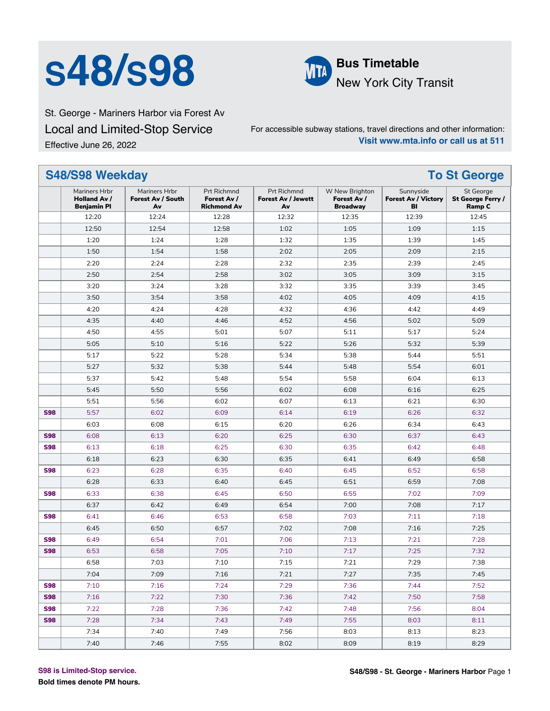# **S48/S98 Bus Timetable**



New York City Transit

St. George - Mariners Harbor via Forest Av Local and Limited-Stop Service Effective June 26, 2022

For accessible subway stations, travel directions and other information: **Visit www.mta.info or call us at 511**

|            | S48/S98 Weekday                                            |                                          |                                                  | <b>To St George</b>                            |                                                  |                                               |                                          |
|------------|------------------------------------------------------------|------------------------------------------|--------------------------------------------------|------------------------------------------------|--------------------------------------------------|-----------------------------------------------|------------------------------------------|
|            | Mariners Hrbr<br><b>Holland Av /</b><br><b>Benjamin Pl</b> | Mariners Hrbr<br>Forest Av / South<br>Av | Prt Richmnd<br>Forest Av /<br><b>Richmond Av</b> | Prt Richmnd<br><b>Forest Av / Jewett</b><br>Av | W New Brighton<br>Forest Av /<br><b>Broadway</b> | Sunnyside<br><b>Forest Av / Victory</b><br>BI | St George<br>St George Ferry /<br>Ramp C |
|            | 12:20                                                      | 12:24                                    | 12:28                                            | 12:32                                          | 12:35                                            | 12:39                                         | 12:45                                    |
|            | 12:50                                                      | 12:54                                    | 12:58                                            | 1:02                                           | 1:05                                             | 1:09                                          | 1:15                                     |
|            | 1:20                                                       | 1:24                                     | 1:28                                             | 1:32                                           | 1:35                                             | 1:39                                          | 1:45                                     |
|            | 1:50                                                       | 1:54                                     | 1:58                                             | 2:02                                           | 2:05                                             | 2:09                                          | 2:15                                     |
|            | 2:20                                                       | 2:24                                     | 2:28                                             | 2:32                                           | 2:35                                             | 2:39                                          | 2:45                                     |
|            | 2:50                                                       | 2:54                                     | 2:58                                             | 3:02                                           | 3:05                                             | 3:09                                          | 3:15                                     |
|            | 3:20                                                       | 3:24                                     | 3:28                                             | 3:32                                           | 3:35                                             | 3:39                                          | 3:45                                     |
|            | 3:50                                                       | 3:54                                     | 3:58                                             | 4:02                                           | 4:05                                             | 4:09                                          | 4:15                                     |
|            | 4:20                                                       | 4:24                                     | 4:28                                             | 4:32                                           | 4:36                                             | 4:42                                          | 4:49                                     |
|            | 4:35                                                       | 4:40                                     | 4:46                                             | 4:52                                           | 4:56                                             | 5:02                                          | 5:09                                     |
|            | 4:50                                                       | 4:55                                     | 5:01                                             | 5:07                                           | 5:11                                             | 5:17                                          | 5:24                                     |
|            | 5:05                                                       | 5:10                                     | 5:16                                             | 5:22                                           | 5:26                                             | 5:32                                          | 5:39                                     |
|            | 5:17                                                       | 5:22                                     | 5:28                                             | 5:34                                           | 5:38                                             | 5:44                                          | 5:51                                     |
|            | 5:27                                                       | 5:32                                     | 5:38                                             | 5:44                                           | 5:48                                             | 5:54                                          | 6:01                                     |
|            | 5:37                                                       | 5:42                                     | 5:48                                             | 5:54                                           | 5:58                                             | 6:04                                          | 6:13                                     |
|            | 5:45                                                       | 5:50                                     | 5:56                                             | 6:02                                           | 6:08                                             | 6:16                                          | 6:25                                     |
|            | 5:51                                                       | 5:56                                     | 6:02                                             | 6:07                                           | 6:13                                             | 6:21                                          | 6:30                                     |
| <b>S98</b> | 5:57                                                       | 6:02                                     | 6:09                                             | 6:14                                           | 6:19                                             | 6:26                                          | 6:32                                     |
|            | 6:03                                                       | 6:08                                     | 6:15                                             | 6:20                                           | 6:26                                             | 6:34                                          | 6:43                                     |
| <b>S98</b> | 6:08                                                       | 6:13                                     | 6:20                                             | 6:25                                           | 6:30                                             | 6:37                                          | 6:43                                     |
| <b>S98</b> | 6:13                                                       | 6:18                                     | 6:25                                             | 6:30                                           | 6:35                                             | 6:42                                          | 6:48                                     |
|            | 6:18                                                       | 6:23                                     | 6:30                                             | 6:35                                           | 6:41                                             | 6:49                                          | 6:58                                     |
| <b>S98</b> | 6:23                                                       | 6:28                                     | 6:35                                             | 6:40                                           | 6:45                                             | 6:52                                          | 6:58                                     |
|            | 6:28                                                       | 6:33                                     | 6:40                                             | 6:45                                           | 6:51                                             | 6:59                                          | 7:08                                     |
| <b>S98</b> | 6:33                                                       | 6:38                                     | 6:45                                             | 6:50                                           | 6:55                                             | 7:02                                          | 7:09                                     |
|            | 6:37                                                       | 6:42                                     | 6:49                                             | 6:54                                           | 7:00                                             | 7:08                                          | 7:17                                     |
| <b>S98</b> | 6:41                                                       | 6:46                                     | 6:53                                             | 6:58                                           | 7:03                                             | 7:11                                          | 7:18                                     |
|            | 6:45                                                       | 6:50                                     | 6:57                                             | 7:02                                           | 7:08                                             | 7:16                                          | 7:25                                     |
| <b>S98</b> | 6:49                                                       | 6:54                                     | 7:01                                             | 7:06                                           | 7:13                                             | 7:21                                          | 7:28                                     |
| <b>S98</b> | 6:53                                                       | 6:58                                     | 7:05                                             | 7:10                                           | 7:17                                             | 7:25                                          | 7:32                                     |
|            | 6:58                                                       | 7:03                                     | 7:10                                             | 7:15                                           | 7:21                                             | 7:29                                          | 7:38                                     |
|            | 7:04                                                       | 7:09                                     | 7:16                                             | 7:21                                           | 7:27                                             | 7:35                                          | 7:45                                     |
| <b>S98</b> | 7:10                                                       | 7:16                                     | 7:24                                             | 7:29                                           | 7:36                                             | 7:44                                          | 7:52                                     |
| <b>S98</b> | 7:16                                                       | 7:22                                     | 7:30                                             | 7:36                                           | 7:42                                             | 7:50                                          | 7:58                                     |
| <b>S98</b> | 7:22                                                       | 7:28                                     | 7:36                                             | 7:42                                           | 7:48                                             | 7:56                                          | 8:04                                     |
| <b>S98</b> | 7:28                                                       | 7:34                                     | 7:43                                             | 7:49                                           | 7:55                                             | 8:03                                          | 8:11                                     |
|            | 7:34                                                       | 7:40                                     | 7:49                                             | 7:56                                           | 8:03                                             | 8:13                                          | 8:23                                     |
|            | 7:40                                                       | 7:46                                     | 7:55                                             | 8:02                                           | 8:09                                             | 8:19                                          | 8:29                                     |

**S98 is Limited-Stop service.**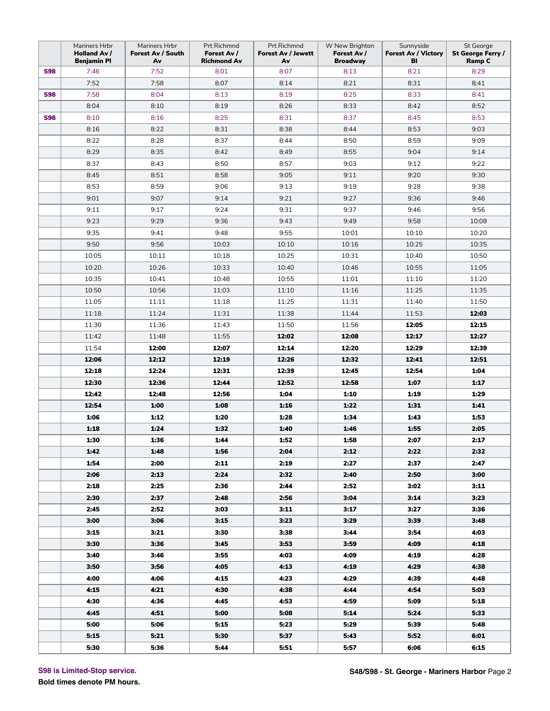|            | Mariners Hrbr<br>Holland Av /<br><b>Benjamin Pl</b> | Mariners Hrbr<br>Forest Av / South<br>Av | Prt Richmnd<br>Forest Av /<br><b>Richmond Av</b> | Prt Richmnd<br><b>Forest Av / Jewett</b><br>Av | W New Brighton<br>Forest Av /<br><b>Broadway</b> | Sunnyside<br><b>Forest Av / Victory</b><br>BI | St George<br>St George Ferry /<br>Ramp C |
|------------|-----------------------------------------------------|------------------------------------------|--------------------------------------------------|------------------------------------------------|--------------------------------------------------|-----------------------------------------------|------------------------------------------|
| <b>S98</b> | 7:46                                                | 7:52                                     | 8:01                                             | 8:07                                           | 8:13                                             | 8:21                                          | 8:29                                     |
|            | 7:52                                                | 7:58                                     | 8:07                                             | 8:14                                           | 8:21                                             | 8:31                                          | 8:41                                     |
| <b>S98</b> | 7:58                                                | 8:04                                     | 8:13                                             | 8:19                                           | 8:25                                             | 8:33                                          | 8:41                                     |
|            | 8:04                                                | 8:10                                     | 8:19                                             | 8:26                                           | 8:33                                             | 8:42                                          | 8:52                                     |
| <b>S98</b> | 8:10                                                | 8:16                                     | 8:25                                             | 8:31                                           | 8:37                                             | 8:45                                          | 8:53                                     |
|            | 8:16                                                | 8:22                                     | 8:31                                             | 8:38                                           | 8:44                                             | 8:53                                          | 9:03                                     |
|            | 8:22                                                | 8:28                                     | 8:37                                             | 8:44                                           | 8:50                                             | 8:59                                          | 9:09                                     |
|            | 8:29                                                | 8:35                                     | 8:42                                             | 8:49                                           | 8:55                                             | 9:04                                          | 9:14                                     |
|            | 8:37                                                | 8:43                                     | 8:50                                             | 8:57                                           | 9:03                                             | 9:12                                          | 9:22                                     |
|            | 8:45                                                | 8:51                                     | 8:58                                             | 9:05                                           | 9:11                                             | 9:20                                          | 9:30                                     |
|            | 8:53                                                | 8:59                                     | 9:06                                             | 9:13                                           | 9:19                                             | 9:28                                          | 9:38                                     |
|            | 9:01                                                | 9:07                                     | 9:14                                             | 9:21                                           | 9:27                                             | 9:36                                          | 9:46                                     |
|            | 9:11                                                | 9:17                                     | 9:24                                             | 9:31                                           | 9:37                                             | 9:46                                          | 9:56                                     |
|            | 9:23                                                | 9:29                                     | 9:36                                             | 9:43                                           | 9:49                                             | 9:58                                          | 10:08                                    |
|            | 9:35                                                | 9:41                                     | 9:48                                             | 9:55                                           | 10:01                                            | 10:10                                         | 10:20                                    |
|            | 9:50                                                | 9:56                                     | 10:03                                            | 10:10                                          | 10:16                                            | 10:25                                         | 10:35                                    |
|            | 10:05                                               | 10:11                                    | 10:18                                            | 10:25                                          | 10:31                                            | 10:40                                         | 10:50                                    |
|            | 10:20                                               | 10:26                                    | 10:33                                            | 10:40                                          | 10:46                                            | 10:55                                         | 11:05                                    |
|            | 10:35                                               | 10:41                                    | 10:48                                            | 10:55                                          | 11:01                                            | 11:10                                         | 11:20                                    |
|            | 10:50                                               | 10:56                                    | 11:03                                            | 11:10                                          | 11:16                                            | 11:25                                         | 11:35                                    |
|            | 11:05                                               | 11:11                                    | 11:18                                            | 11:25                                          | 11:31                                            | 11:40                                         | 11:50                                    |
|            | 11:18                                               | 11:24                                    | 11:31                                            | 11:38                                          | 11:44                                            | 11:53                                         | 12:03                                    |
|            | 11:30                                               | 11:36                                    | 11:43                                            | 11:50                                          | 11:56                                            | 12:05                                         | 12:15                                    |
|            | 11:42                                               | 11:48                                    | 11:55                                            | 12:02                                          | 12:08                                            | 12:17                                         | 12:27                                    |
|            | 11:54                                               | 12:00                                    | 12:07                                            | 12:14                                          | 12:20                                            | 12:29                                         | 12:39                                    |
|            | 12:06                                               | 12:12                                    | 12:19                                            | 12:26                                          | 12:32                                            | 12:41                                         | 12:51                                    |
|            | 12:18                                               | 12:24                                    | 12:31                                            | 12:39                                          | 12:45                                            | 12:54                                         | 1:04                                     |
|            | 12:30                                               | 12:36                                    | 12:44                                            | 12:52                                          | 12:58                                            | 1:07                                          | 1:17                                     |
|            | 12:42                                               | 12:48                                    | 12:56                                            | 1:04                                           | 1:10                                             | 1:19                                          | 1:29                                     |
|            | 12:54                                               | 1:00                                     | 1:08                                             | 1:16                                           | 1:22                                             | 1:31                                          | 1:41                                     |
|            | 1:06                                                | 1:12                                     | 1:20                                             | 1:28                                           | 1:34                                             | 1:43                                          | 1:53                                     |
|            | 1:18                                                | 1:24                                     | 1:32                                             | 1:40                                           | 1:46                                             | 1:55                                          | 2:05                                     |
|            | 1:30                                                | 1:36                                     | 1:44                                             | 1:52                                           | 1:58                                             | 2:07                                          | 2:17                                     |
|            | 1:42                                                | 1:48                                     | 1:56                                             | 2:04                                           | 2:12                                             | 2:22                                          | 2:32                                     |
|            | 1:54                                                | 2:00                                     | 2:11                                             | 2:19                                           | 2:27                                             | 2:37                                          | 2:47                                     |
|            | 2:06                                                | 2:13                                     | 2:24                                             | 2:32                                           | 2:40                                             | 2:50                                          | 3:00                                     |
|            | 2:18                                                | 2:25                                     | 2:36                                             | 2:44                                           | 2:52                                             | 3:02                                          | 3:11                                     |
|            | 2:30                                                | 2:37                                     | 2:48                                             | 2:56                                           | 3:04                                             | 3:14                                          | 3:23                                     |
|            | 2:45                                                | 2:52                                     | 3:03                                             | 3:11                                           | 3:17                                             | 3:27                                          | 3:36                                     |
|            | 3:00                                                | 3:06                                     | 3:15                                             | 3:23                                           | 3:29                                             | 3:39                                          | 3:48                                     |
|            | 3:15                                                | 3:21                                     | 3:30                                             | 3:38                                           | 3:44                                             | 3:54                                          | 4:03                                     |
|            | 3:30                                                | 3:36                                     | 3:45                                             | 3:53                                           | 3:59                                             | 4:09                                          | 4:18                                     |
|            | 3:40                                                | 3:46                                     | 3:55                                             | 4:03                                           | 4:09                                             | 4:19                                          | 4:28                                     |
|            | 3:50                                                | 3:56                                     | 4:05                                             | 4:13                                           | 4:19                                             | 4:29                                          | 4:38                                     |
|            | 4:00                                                | 4:06                                     | 4:15                                             | 4:23                                           | 4:29                                             | 4:39                                          | 4:48                                     |
|            | 4:15                                                | 4.21                                     | 4:30                                             | 4:38                                           | 4:44                                             | 4:54                                          | 5:03                                     |
|            | 4:30                                                | 4:36                                     | 4:45                                             | 4:53                                           | 4:59                                             | 5:09                                          | 5:18                                     |
|            | 4:45                                                | 4:51                                     | 5:00                                             | 5:08                                           | 5:14                                             | 5:24                                          | 5:33                                     |
|            | 5:00                                                | 5:06                                     | 5:15                                             | 5:23                                           | 5:29                                             | 5:39                                          | 5:48                                     |
|            | 5:15                                                | 5:21                                     | 5:30                                             | 5:37                                           | 5:43                                             | 5:52                                          | 6:01                                     |
|            | 5:30                                                | 5:36                                     | 5:44                                             | 5:51                                           | 5:57                                             | 6:06                                          | 6:15                                     |

**S98 is Limited-Stop service.**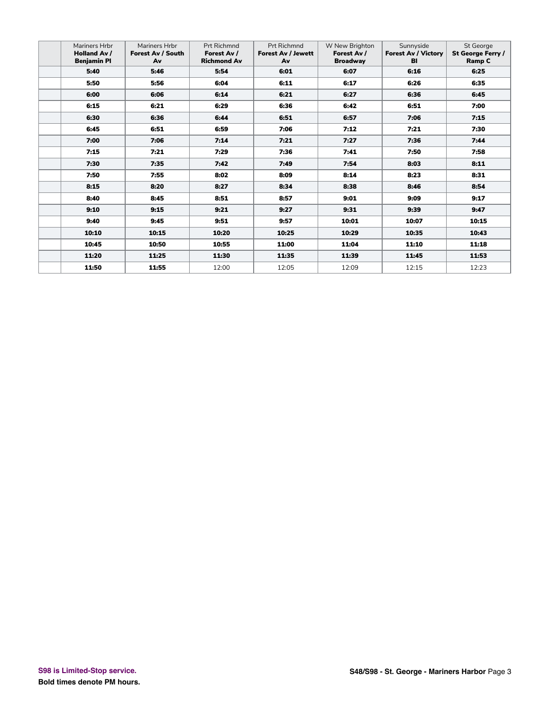| Mariners Hrbr<br><b>Holland Av /</b><br><b>Benjamin PI</b> | Mariners Hrbr<br>Forest Av / South<br>Av | Prt Richmnd<br>Forest Av /<br><b>Richmond Av</b> | Prt Richmnd<br><b>Forest Av / Jewett</b><br>Av | W New Brighton<br>Forest Av /<br><b>Broadway</b> | Sunnyside<br><b>Forest Av / Victory</b><br><b>BI</b> | St George<br>St George Ferry /<br>Ramp C |
|------------------------------------------------------------|------------------------------------------|--------------------------------------------------|------------------------------------------------|--------------------------------------------------|------------------------------------------------------|------------------------------------------|
| 5:40                                                       | 5:46                                     | 5:54                                             | 6:01                                           | 6:07                                             | 6:16                                                 | 6:25                                     |
| 5:50                                                       | 5:56                                     | 6:04                                             | 6:11                                           | 6:17                                             | 6:26                                                 | 6:35                                     |
| 6:00                                                       | 6:06                                     | 6:14                                             | 6:21                                           | 6:27                                             | 6:36                                                 | 6:45                                     |
| 6:15                                                       | 6:21                                     | 6:29                                             | 6:36                                           | 6:42                                             | 6:51                                                 | 7:00                                     |
| 6:30                                                       | 6:36                                     | 6:44                                             | 6:51                                           | 6:57                                             | 7:06                                                 | 7:15                                     |
| 6:45                                                       | 6:51                                     | 6:59                                             | 7:06                                           | 7:12                                             | 7:21                                                 | 7:30                                     |
| 7:00                                                       | 7:06                                     | 7:14                                             | 7:21                                           | 7:27                                             | 7:36                                                 | 7:44                                     |
| 7:15                                                       | 7:21                                     | 7:29                                             | 7:36                                           | 7:41                                             | 7:50                                                 | 7:58                                     |
| 7:30                                                       | 7:35                                     | 7:42                                             | 7:49                                           | 7:54                                             | 8:03                                                 | 8:11                                     |
| 7:50                                                       | 7:55                                     | 8:02                                             | 8:09                                           | 8:14                                             | 8:23                                                 | 8:31                                     |
| 8:15                                                       | 8:20                                     | 8:27                                             | 8:34                                           | 8:38                                             | 8:46                                                 | 8:54                                     |
| 8:40                                                       | 8:45                                     | 8:51                                             | 8:57                                           | 9:01                                             | 9:09                                                 | 9:17                                     |
| 9:10                                                       | 9:15                                     | 9:21                                             | 9:27                                           | 9:31                                             | 9:39                                                 | 9:47                                     |
| 9:40                                                       | 9:45                                     | 9:51                                             | 9:57                                           | 10:01                                            | 10:07                                                | 10:15                                    |
| 10:10                                                      | 10:15                                    | 10:20                                            | 10:25                                          | 10:29                                            | 10:35                                                | 10:43                                    |
| 10:45                                                      | 10:50                                    | 10:55                                            | 11:00                                          | 11:04                                            | 11:10                                                | 11:18                                    |
| 11:20                                                      | 11:25                                    | 11:30                                            | 11:35                                          | 11:39                                            | 11:45                                                | 11:53                                    |
| 11:50                                                      | 11:55                                    | 12:00                                            | 12:05                                          | 12:09                                            | 12:15                                                | 12:23                                    |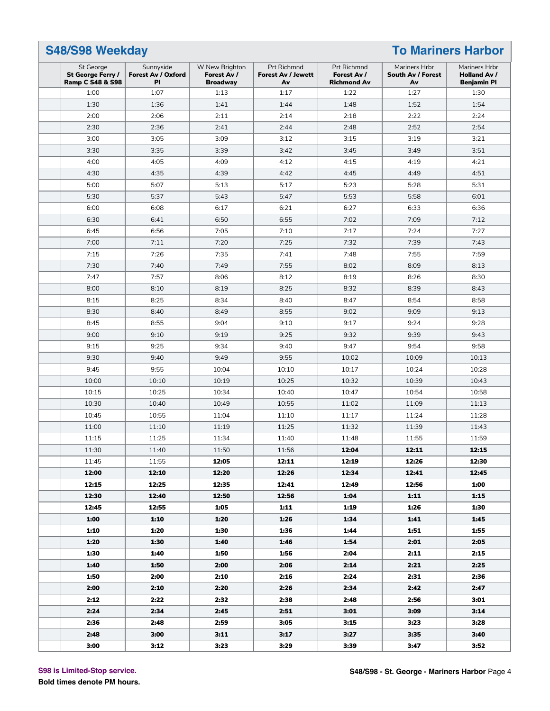| <b>To Mariners Harbor</b><br><b>S48/S98 Weekday</b>           |                                              |                                                  |                                                |                                                  |                                          |                                                            |
|---------------------------------------------------------------|----------------------------------------------|--------------------------------------------------|------------------------------------------------|--------------------------------------------------|------------------------------------------|------------------------------------------------------------|
| St George<br>St George Ferry /<br><b>Ramp C S48 &amp; S98</b> | Sunnyside<br>Forest Av / Oxford<br><b>PI</b> | W New Brighton<br>Forest Av /<br><b>Broadway</b> | Prt Richmnd<br><b>Forest Av / Jewett</b><br>Av | Prt Richmnd<br>Forest Av /<br><b>Richmond Av</b> | Mariners Hrbr<br>South Av / Forest<br>Av | Mariners Hrbr<br><b>Holland Av /</b><br><b>Benjamin Pl</b> |
| 1:00                                                          | 1:07                                         | 1:13                                             | 1:17                                           | 1:22                                             | 1:27                                     | 1:30                                                       |
| 1:30                                                          | 1:36                                         | 1:41                                             | 1:44                                           | 1:48                                             | 1:52                                     | 1:54                                                       |
| 2:00                                                          | 2:06                                         | 2:11                                             | 2:14                                           | 2:18                                             | 2:22                                     | 2:24                                                       |
| 2:30                                                          | 2:36                                         | 2:41                                             | 2:44                                           | 2:48                                             | 2:52                                     | 2:54                                                       |
| 3:00                                                          | 3:05                                         | 3:09                                             | 3:12                                           | 3:15                                             | 3:19                                     | 3:21                                                       |
| 3:30                                                          | 3:35                                         | 3:39                                             | 3:42                                           | 3:45                                             | 3:49                                     | 3:51                                                       |
| 4:00                                                          | 4:05                                         | 4:09                                             | 4:12                                           | 4:15                                             | 4:19                                     | 4:21                                                       |
| 4:30                                                          | 4:35                                         | 4:39                                             | 4:42                                           | 4:45                                             | 4:49                                     | 4:51                                                       |
| 5:00                                                          | 5:07                                         | 5:13                                             | 5:17                                           | 5:23                                             | 5:28                                     | 5:31                                                       |
| 5:30                                                          | 5:37                                         | 5:43                                             | 5:47                                           | 5:53                                             | 5:58                                     | 6:01                                                       |
| 6:00                                                          | 6:08                                         | 6:17                                             | 6:21                                           | 6:27                                             | 6:33                                     | 6:36                                                       |
| 6:30                                                          | 6:41                                         | 6:50                                             | 6:55                                           | 7:02                                             | 7:09                                     | 7:12                                                       |
| 6:45                                                          | 6:56                                         | 7:05                                             | 7:10                                           | 7:17                                             | 7:24                                     | 7:27                                                       |
| 7:00                                                          | 7:11                                         | 7:20                                             | 7:25                                           | 7:32                                             | 7:39                                     | 7:43                                                       |
| 7:15                                                          | 7:26                                         | 7:35                                             | 7:41                                           | 7:48                                             | 7:55                                     | 7:59                                                       |
| 7:30                                                          | 7:40                                         | 7:49                                             | 7:55                                           | 8:02                                             | 8:09                                     | 8:13                                                       |
| 7:47                                                          | 7:57                                         | 8:06                                             | 8:12                                           | 8:19                                             | 8:26                                     | 8:30                                                       |
| 8:00                                                          | 8:10                                         | 8:19                                             | 8:25                                           | 8:32                                             | 8:39                                     | 8:43                                                       |
| 8:15                                                          | 8:25                                         | 8:34                                             | 8:40                                           | 8:47                                             | 8:54                                     | 8:58                                                       |
| 8:30                                                          | 8:40                                         | 8:49                                             | 8:55                                           | 9:02                                             | 9:09                                     | 9:13                                                       |
| 8:45                                                          | 8:55                                         | 9:04                                             | 9:10                                           | 9:17                                             | 9:24                                     | 9:28                                                       |
| 9:00                                                          | 9:10                                         | 9:19                                             | 9:25                                           | 9:32                                             | 9:39                                     | 9:43                                                       |
| 9:15                                                          | 9:25                                         | 9:34                                             | 9:40                                           | 9:47                                             | 9:54                                     | 9:58                                                       |
| 9:30                                                          | 9:40                                         | 9:49                                             | 9:55                                           | 10:02                                            | 10:09                                    | 10:13                                                      |
| 9:45                                                          | 9:55                                         | 10:04                                            | 10:10                                          | 10:17                                            | 10:24                                    | 10:28                                                      |
| 10:00                                                         | 10:10                                        | 10:19                                            | 10:25                                          | 10:32                                            | 10:39                                    | 10:43                                                      |
| 10:15                                                         | 10:25                                        | 10:34                                            | 10:40                                          | 10:47                                            | 10:54                                    | 10:58                                                      |
| 10:30                                                         | 10:40                                        | 10:49                                            | 10:55                                          | 11:02                                            | 11:09                                    | 11:13                                                      |
| 10:45                                                         | 10:55                                        | 11:04                                            | 11:10                                          | 11:17                                            | 11:24                                    | 11:28                                                      |
| 11:00                                                         | 11:10                                        | 11:19                                            | 11:25                                          | 11:32                                            | 11:39                                    | 11:43                                                      |
| 11:15                                                         | 11:25                                        | 11:34                                            | 11:40                                          | 11:48                                            | 11:55                                    | 11:59                                                      |
| 11:30                                                         | 11:40                                        | 11:50                                            | 11:56                                          | 12:04                                            | 12:11                                    | 12:15                                                      |
| 11:45                                                         | 11:55                                        | 12:05                                            | 12:11                                          | 12:19                                            | 12:26                                    | 12:30                                                      |
| 12:00                                                         | 12:10                                        | 12:20                                            | 12:26                                          | 12:34                                            | 12:41                                    | 12:45                                                      |
| 12:15                                                         | 12:25                                        | 12:35                                            | 12:41                                          | 12:49                                            | 12:56                                    | 1:00                                                       |
| 12:30                                                         | 12:40                                        | 12:50                                            | 12:56                                          | 1:04                                             | 1:11                                     | 1:15                                                       |
| 12:45                                                         | 12:55                                        | 1:05                                             | 1:11                                           | 1:19                                             | 1:26                                     | 1:30                                                       |
| 1:00                                                          | 1:10                                         | 1:20                                             | 1:26                                           | 1:34                                             | 1:41                                     | 1:45                                                       |
| 1:10                                                          | 1:20                                         | 1:30                                             | 1:36                                           | 1:44                                             | 1:51                                     | 1:55                                                       |
| 1:20                                                          | 1:30                                         | 1:40                                             | 1:46                                           | 1:54                                             | 2:01                                     | 2:05                                                       |
| 1:30                                                          | 1:40                                         | 1:50                                             | 1:56                                           | 2:04                                             | 2:11                                     | 2:15                                                       |
| 1:40                                                          | 1:50                                         | 2:00                                             | 2:06                                           | 2:14                                             | 2:21                                     | 2:25                                                       |
| 1:50                                                          | 2:00                                         | 2:10                                             | 2:16                                           | 2:24                                             | 2:31                                     | 2:36                                                       |
| 2:00                                                          | 2:10                                         | 2:20                                             | 2:26                                           | 2:34                                             | 2:42                                     | 2:47                                                       |
| 2:12                                                          | 2:22                                         | 2:32                                             | 2:38                                           | 2:48                                             | 2:56                                     | 3:01                                                       |
| 2:24                                                          | 2:34                                         | 2:45                                             | 2:51                                           | 3:01                                             | 3:09                                     | 3:14                                                       |
| 2:36                                                          | 2:48                                         | 2:59                                             | 3:05                                           | 3:15                                             | 3:23                                     | 3:28                                                       |
| 2:48                                                          | 3:00                                         | 3:11                                             | 3:17                                           | 3:27                                             | 3:35                                     | 3:40                                                       |
| 3:00                                                          | 3:12                                         | 3:23                                             | 3:29                                           | 3:39                                             | 3:47                                     | 3:52                                                       |

**S98 is Limited-Stop service.**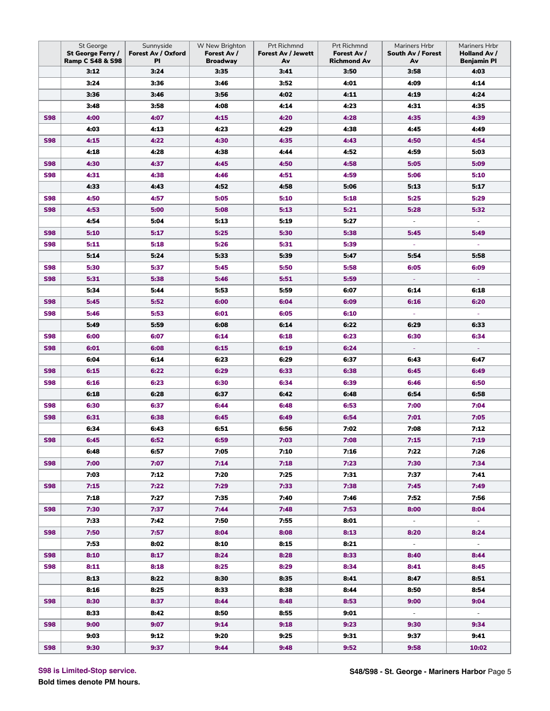|            | St George<br>St George Ferry / | Sunnyside<br>Forest Av / Oxford | W New Brighton<br>Forest Av / | Prt Richmnd<br><b>Forest Av / Jewett</b> | Prt Richmnd<br>Forest Av / | Mariners Hrbr<br>South Av / Forest | Mariners Hrbr<br>Holland Av / |
|------------|--------------------------------|---------------------------------|-------------------------------|------------------------------------------|----------------------------|------------------------------------|-------------------------------|
|            | <b>Ramp C S48 &amp; S98</b>    | PI                              | <b>Broadway</b>               | Av                                       | <b>Richmond Av</b>         | Av                                 | <b>Benjamin Pl</b>            |
|            | 3:12                           | 3:24                            | 3:35                          | 3:41                                     | 3:50                       | 3:58                               | 4:03                          |
|            | 3:24                           | 3:36                            | 3:46                          | 3:52                                     | 4:01                       | 4:09                               | 4:14                          |
|            | 3:36                           | 3:46                            | 3:56                          | 4:02                                     | 4:11                       | 4:19                               | 4:24                          |
|            | 3:48                           | 3:58                            | 4:08                          | 4:14                                     | 4:23                       | 4:31                               | 4:35                          |
| <b>S98</b> | 4:00                           | 4:07                            | 4:15                          | 4:20                                     | 4:28                       | 4:35                               | 4:39                          |
|            | 4:03                           | 4:13                            | 4:23                          | 4:29                                     | 4:38                       | 4:45                               | 4:49                          |
| <b>S98</b> | 4:15                           | 4:22                            | 4:30                          | 4:35                                     | 4:43                       | 4:50                               | 4:54                          |
|            | 4:18                           | 4:28                            | 4:38                          | 4:44                                     | 4:52                       | 4:59                               | 5:03                          |
| <b>S98</b> | 4:30                           | 4:37                            | 4:45                          | 4:50                                     | 4:58                       | 5:05                               | 5:09                          |
| <b>S98</b> | 4:31                           | 4:38                            | 4:46                          | 4:51                                     | 4:59                       | 5:06                               | 5:10                          |
|            | 4:33                           | 4:43                            | 4:52                          | 4:58                                     | 5:06                       | 5:13                               | 5:17                          |
| <b>S98</b> | 4:50                           | 4:57                            | 5:05                          | 5:10                                     | 5:18                       | 5:25                               | 5:29                          |
| <b>S98</b> | 4:53                           | 5:00                            | 5:08                          | 5:13                                     | 5:21                       | 5:28                               | 5:32                          |
|            | 4:54                           | 5:04                            | 5:13                          | 5:19                                     | 5:27                       | $\overline{\phantom{a}}$           | $\overline{\phantom{a}}$      |
| <b>S98</b> | 5:10                           | 5:17                            | 5:25                          | 5:30                                     | 5:38                       | 5:45                               | 5:49                          |
| <b>S98</b> | 5:11                           | 5:18                            | 5:26                          | 5:31                                     | 5:39                       |                                    |                               |
|            | 5:14                           | 5:24                            | 5:33                          | 5:39                                     | 5:47                       | 5:54                               | 5:58                          |
| <b>S98</b> | 5:30                           | 5:37                            | 5:45                          | 5:50                                     | 5:58                       | 6:05                               | 6:09                          |
| <b>S98</b> | 5:31                           | 5:38                            | 5:46                          | 5:51                                     | 5:59                       | Ξ                                  | Ξ                             |
|            | 5:34                           | 5:44                            | 5:53                          | 5:59                                     | 6:07                       | 6:14                               | 6:18                          |
| <b>S98</b> | 5:45                           | 5:52                            | 6:00                          | 6:04                                     | 6:09                       | 6:16                               | 6:20                          |
| <b>S98</b> | 5:46                           | 5:53                            | 6:01                          | 6:05                                     | 6:10                       | ä,                                 | ä,                            |
|            | 5:49                           | 5:59                            | 6:08                          | 6:14                                     | 6:22                       | 6:29                               | 6:33                          |
| <b>S98</b> | 6:00                           | 6:07                            | 6:14                          | 6:18                                     | 6:23                       | 6:30                               | 6:34                          |
| <b>S98</b> | 6:01                           | 6:08                            | 6:15                          | 6:19                                     | 6:24                       |                                    |                               |
|            | 6:04                           | 6:14                            | 6:23                          | 6:29                                     | 6:37                       | 6:43                               | 6:47                          |
| <b>S98</b> | 6:15                           | 6:22                            | 6:29                          | 6:33                                     | 6:38                       | 6:45                               | 6:49                          |
| <b>S98</b> | 6:16                           | 6:23                            | 6:30                          | 6:34                                     | 6:39                       | 6:46                               | 6:50                          |
|            | 6:18                           | 6:28                            | 6:37                          | 6:42                                     | 6:48                       | 6:54                               | 6:58                          |
| <b>S98</b> | 6:30                           | 6:37                            | 6:44                          | 6:48                                     | 6:53                       | 7:00                               | 7:04                          |
| <b>S98</b> | 6:31                           | 6:38                            | 6:45                          | 6:49                                     | 6:54                       | 7:01                               | 7:05                          |
|            | 6:34                           | 6:43                            | 6:51                          | 6:56                                     | 7:02                       | 7:08                               | 7:12                          |
| <b>S98</b> | 6:45                           | 6:52                            | 6:59                          | 7:03                                     | 7:08                       | 7:15                               | 7:19                          |
|            | 6:48                           | 6:57                            | 7:05                          | 7:10                                     | 7:16                       | 7:22                               | 7:26                          |
| <b>S98</b> | 7:00                           | 7:07                            | 7:14                          | 7:18                                     | 7:23                       | 7:30                               | 7:34                          |
|            | 7:03                           | 7:12                            | 7:20                          | 7:25                                     | 7:31                       | 7:37                               | 7:41                          |
| <b>S98</b> | 7:15                           | 7:22                            | 7:29                          | 7:33                                     | 7:38                       | 7:45                               | 7:49                          |
|            | 7:18                           | 7:27                            | 7:35                          | 7:40                                     | 7:46                       | 7:52                               | 7:56                          |
| <b>S98</b> | 7:30                           | 7:37                            | 7:44                          | 7:48                                     | 7:53                       | 8:00                               | 8:04                          |
|            | 7:33                           | 7:42                            | 7:50                          | 7:55                                     | 8:01                       | $\sim$                             | $\sim$                        |
| <b>S98</b> | 7:50                           | 7:57                            | 8:04                          | 8:08                                     | 8:13                       | 8:20                               | 8:24                          |
|            | 7:53                           | 8:02                            | 8:10                          | 8:15                                     | 8:21                       | $\sim$                             | $\sim$                        |
| <b>S98</b> | 8:10                           | 8:17                            | 8:24                          | 8:28                                     | 8:33                       | 8:40                               | 8:44                          |
| <b>S98</b> | 8:11                           | 8:18                            | 8:25                          | 8:29                                     | 8:34                       | 8:41                               | 8:45                          |
|            | 8:13                           | 8:22                            | 8:30                          | 8:35                                     | 8:41                       | 8:47                               | 8:51                          |
|            | 8:16                           | 8:25                            | 8:33                          | 8:38                                     | 8:44                       | 8:50                               | 8:54                          |
| <b>S98</b> | 8:30                           | 8:37                            | 8:44                          | 8:48                                     | 8:53                       | 9:00                               | 9:04                          |
|            | 8:33                           | 8:42                            | 8:50                          | 8:55                                     | 9:01                       | $\sim$                             | $\sim$                        |
| <b>S98</b> | 9:00                           | 9:07                            | 9:14                          | 9:18                                     | 9:23                       | 9:30                               | 9:34                          |
|            | 9:03                           | 9:12                            | 9:20                          | 9:25                                     | 9:31                       | 9:37                               | 9:41                          |
| <b>S98</b> | 9:30                           | 9:37                            | 9:44                          | 9:48                                     | 9:52                       | 9:58                               | 10:02                         |
|            |                                |                                 |                               |                                          |                            |                                    |                               |

**S98 is Limited-Stop service.**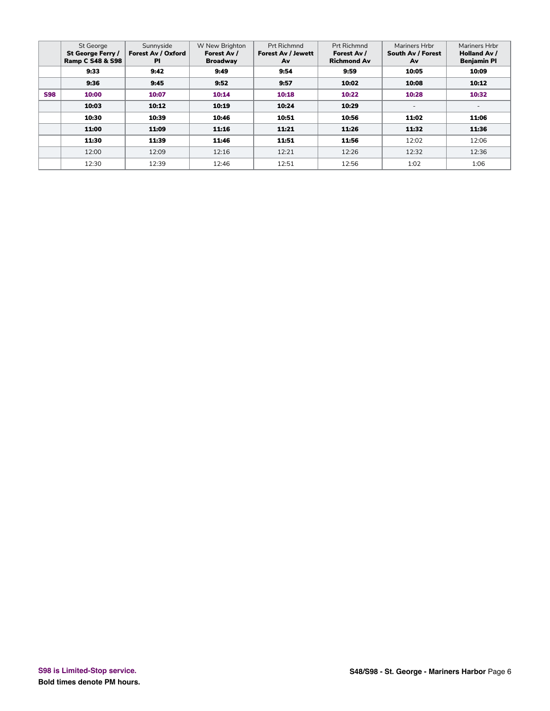|            | <b>St George</b><br>St George Ferry /<br><b>Ramp C S48 &amp; S98</b> | Sunnyside<br>Forest Av / Oxford<br><b>PI</b> | W New Brighton<br>Forest Av /<br><b>Broadway</b> | Prt Richmnd<br><b>Forest Av / Jewett</b><br>Av | Prt Richmnd<br>Forest Av /<br><b>Richmond Av</b> | Mariners Hrbr<br>South Av / Forest<br>Av | Mariners Hrbr<br><b>Holland Av /</b><br><b>Benjamin PI</b> |
|------------|----------------------------------------------------------------------|----------------------------------------------|--------------------------------------------------|------------------------------------------------|--------------------------------------------------|------------------------------------------|------------------------------------------------------------|
|            | 9:33                                                                 | 9:42                                         | 9:49                                             | 9:54                                           | 9:59                                             | 10:05                                    | 10:09                                                      |
|            | 9:36                                                                 | 9:45                                         | 9:52                                             | 9:57                                           | 10:02                                            | 10:08                                    | 10:12                                                      |
| <b>S98</b> | 10:00                                                                | 10:07                                        | 10:14                                            | 10:18                                          | 10:22                                            | 10:28                                    | 10:32                                                      |
|            | 10:03                                                                | 10:12                                        | 10:19                                            | 10:24                                          | 10:29                                            | $\overline{\phantom{0}}$                 | $\overline{\phantom{a}}$                                   |
|            | 10:30                                                                | 10:39                                        | 10:46                                            | 10:51                                          | 10:56                                            | 11:02                                    | 11:06                                                      |
|            | 11:00                                                                | 11:09                                        | 11:16                                            | 11:21                                          | 11:26                                            | 11:32                                    | 11:36                                                      |
|            | 11:30                                                                | 11:39                                        | 11:46                                            | 11:51                                          | 11:56                                            | 12:02                                    | 12:06                                                      |
|            | 12:00                                                                | 12:09                                        | 12:16                                            | 12:21                                          | 12:26                                            | 12:32                                    | 12:36                                                      |
|            | 12:30                                                                | 12:39                                        | 12:46                                            | 12:51                                          | 12:56                                            | 1:02                                     | 1:06                                                       |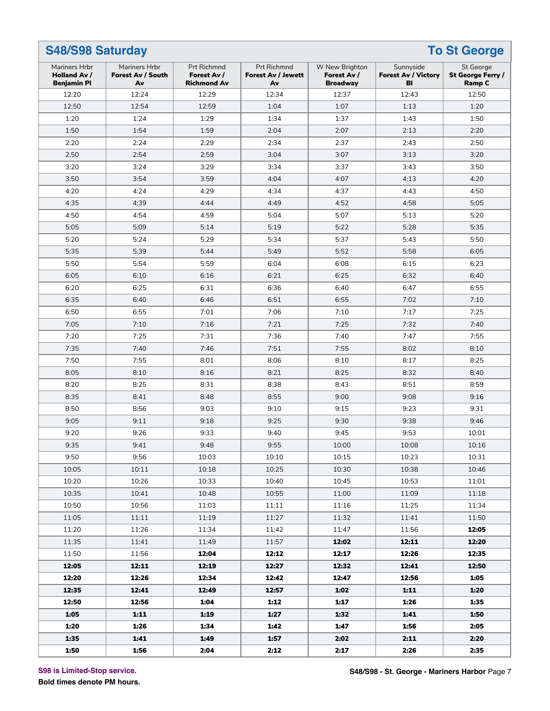|                                                     | <b>To St George</b><br><b>S48/S98 Saturday</b> |                                                  |                                                       |                                                  |                                               |                                                 |  |  |  |
|-----------------------------------------------------|------------------------------------------------|--------------------------------------------------|-------------------------------------------------------|--------------------------------------------------|-----------------------------------------------|-------------------------------------------------|--|--|--|
| Mariners Hrbr<br>Holland Av /<br><b>Benjamin PI</b> | Mariners Hrbr<br>Forest Av / South<br>Av       | Prt Richmnd<br>Forest Av /<br><b>Richmond Av</b> | <b>Prt Richmnd</b><br><b>Forest Av / Jewett</b><br>Av | W New Brighton<br>Forest Av /<br><b>Broadway</b> | Sunnyside<br><b>Forest Av / Victory</b><br>BI | St George<br>St George Ferry /<br><b>Ramp C</b> |  |  |  |
| 12:20                                               | 12:24                                          | 12:29                                            | 12:34                                                 | 12:37                                            | 12:43                                         | 12:50                                           |  |  |  |
| 12:50                                               | 12:54                                          | 12:59                                            | 1:04                                                  | 1:07                                             | 1:13                                          | 1:20                                            |  |  |  |
| 1:20                                                | 1:24                                           | 1:29                                             | 1:34                                                  | 1:37                                             | 1:43                                          | 1:50                                            |  |  |  |
| 1:50                                                | 1:54                                           | 1:59                                             | 2:04                                                  | 2:07                                             | 2:13                                          | 2:20                                            |  |  |  |
| 2:20                                                | 2:24                                           | 2:29                                             | 2:34                                                  | 2:37                                             | 2:43                                          | 2:50                                            |  |  |  |
| 2:50                                                | 2:54                                           | 2:59                                             | 3:04                                                  | 3:07                                             | 3:13                                          | 3:20                                            |  |  |  |
| 3:20                                                | 3:24                                           | 3:29                                             | 3:34                                                  | 3:37                                             | 3:43                                          | 3:50                                            |  |  |  |
| 3:50                                                | 3:54                                           | 3:59                                             | 4:04                                                  | 4:07                                             | 4:13                                          | 4:20                                            |  |  |  |
| 4:20                                                | 4:24                                           | 4:29                                             | 4:34                                                  | 4:37                                             | 4:43                                          | 4:50                                            |  |  |  |
| 4:35                                                | 4:39                                           | 4:44                                             | 4:49                                                  | 4:52                                             | 4:58                                          | 5:05                                            |  |  |  |
| 4:50                                                | 4:54                                           | 4:59                                             | 5:04                                                  | 5:07                                             | 5:13                                          | 5:20                                            |  |  |  |
| 5:05                                                | 5:09                                           | 5:14                                             | 5:19                                                  | 5:22                                             | 5:28                                          | 5:35                                            |  |  |  |
| 5:20                                                | 5:24                                           | 5:29                                             | 5:34                                                  | 5:37                                             | 5:43                                          | 5:50                                            |  |  |  |
| 5:35                                                | 5:39                                           | 5:44                                             | 5:49                                                  | 5:52                                             | 5:58                                          | 6:05                                            |  |  |  |
| 5:50                                                | 5:54                                           | 5:59                                             | 6:04                                                  | 6:08                                             | 6:15                                          | 6:23                                            |  |  |  |
| 6:05                                                | 6:10                                           | 6:16                                             | 6:21                                                  | 6:25                                             | 6:32                                          | 6:40                                            |  |  |  |
| 6:20                                                | 6:25                                           | 6:31                                             | 6:36                                                  | 6:40                                             | 6:47                                          | 6:55                                            |  |  |  |
| 6:35                                                | 6:40                                           | 6:46                                             | 6:51                                                  | 6:55                                             | 7:02                                          | 7:10                                            |  |  |  |
| 6:50                                                | 6:55                                           | 7:01                                             | 7:06                                                  | 7:10                                             | 7:17                                          | 7:25                                            |  |  |  |
| 7:05                                                | 7:10                                           | 7:16                                             | 7:21                                                  | 7:25                                             | 7:32                                          | 7:40                                            |  |  |  |
| 7:20                                                | 7:25                                           | 7:31                                             | 7:36                                                  | 7:40                                             | 7:47                                          | 7:55                                            |  |  |  |
| 7:35                                                | 7:40                                           | 7:46                                             | 7:51                                                  | 7:55                                             | 8:02                                          | 8:10                                            |  |  |  |
| 7:50                                                | 7:55                                           | 8:01                                             | 8:06                                                  | 8:10                                             | 8:17                                          | 8:25                                            |  |  |  |
| 8:05                                                | 8:10                                           | 8:16                                             | 8:21                                                  | 8:25                                             | 8:32                                          | 8:40                                            |  |  |  |
| 8:20                                                | 8:25                                           | 8:31                                             | 8:38                                                  | 8:43                                             | 8:51                                          | 8:59                                            |  |  |  |
| 8:35                                                | 8:41                                           | 8:48                                             | 8:55                                                  | 9:00                                             | 9:08                                          | 9:16                                            |  |  |  |
| 8:50                                                | 8:56                                           | 9:03                                             | 9:10                                                  | 9:15                                             | 9:23                                          | 9:31                                            |  |  |  |
| 9:05                                                | 9:11                                           | 9:18                                             | 9:25                                                  | 9:30                                             | 9:38                                          | 9:46                                            |  |  |  |
| 9:20                                                | 9:26                                           | 9:33                                             | 9:40                                                  | 9:45                                             | 9:53                                          | 10:01                                           |  |  |  |
| 9:35                                                | 9:41                                           | 9:48                                             | 9:55                                                  | 10:00                                            | 10:08                                         | 10:16                                           |  |  |  |
| 9:50                                                | 9:56                                           | 10:03                                            | 10:10                                                 | 10:15                                            | 10:23                                         | 10:31                                           |  |  |  |
| 10:05                                               | 10:11                                          | 10:18                                            | 10:25                                                 | 10:30                                            | 10:38                                         | 10:46                                           |  |  |  |
| 10:20                                               | 10:26                                          | 10:33                                            | 10:40                                                 | 10:45                                            | 10:53                                         | 11:01                                           |  |  |  |
| 10:35                                               | 10:41                                          | 10:48                                            | 10:55                                                 | 11:00                                            | 11:09                                         | 11:18                                           |  |  |  |
| 10:50                                               | 10:56                                          | 11:03                                            | 11:11                                                 | 11:16                                            | 11:25                                         | 11:34                                           |  |  |  |
| 11:05                                               | 11:11                                          | 11:19                                            | 11:27                                                 | 11:32                                            | 11:41                                         | 11:50                                           |  |  |  |
| 11:20                                               | 11:26                                          | 11:34                                            | 11:42                                                 | 11:47                                            | 11:56                                         | 12:05                                           |  |  |  |
| 11:35                                               | 11:41                                          | 11:49                                            | 11:57                                                 | 12:02                                            | 12:11                                         | 12:20                                           |  |  |  |
| 11:50                                               | 11:56                                          | 12:04                                            | 12:12                                                 | 12:17                                            | 12:26                                         | 12:35                                           |  |  |  |
| 12:05                                               | 12:11                                          | 12:19                                            | 12:27                                                 | 12:32                                            | 12:41                                         | 12:50                                           |  |  |  |
| 12:20                                               | 12:26                                          | 12:34                                            | 12:42                                                 | 12:47                                            | 12:56                                         | 1:05                                            |  |  |  |
| 12:35                                               | 12:41                                          | 12:49                                            | 12:57                                                 | 1:02                                             | 1:11                                          | 1:20                                            |  |  |  |
| 12:50                                               | 12:56                                          | 1:04                                             | 1:12                                                  | 1:17                                             | 1:26                                          | 1:35                                            |  |  |  |
| 1:05                                                | 1:11                                           | 1:19                                             | 1:27                                                  | 1:32                                             | 1:41                                          | 1:50                                            |  |  |  |
| 1:20                                                | 1:26                                           | 1:34                                             | 1:42                                                  | 1:47                                             | 1:56                                          | 2:05                                            |  |  |  |
| 1:35                                                | 1:41                                           | 1:49                                             | 1:57                                                  | 2:02                                             | 2:11                                          | 2:20                                            |  |  |  |
| 1:50                                                | 1:56                                           | 2:04                                             | 2:12                                                  | 2:17                                             | 2:26                                          | 2:35                                            |  |  |  |

**S98 is Limited-Stop service.**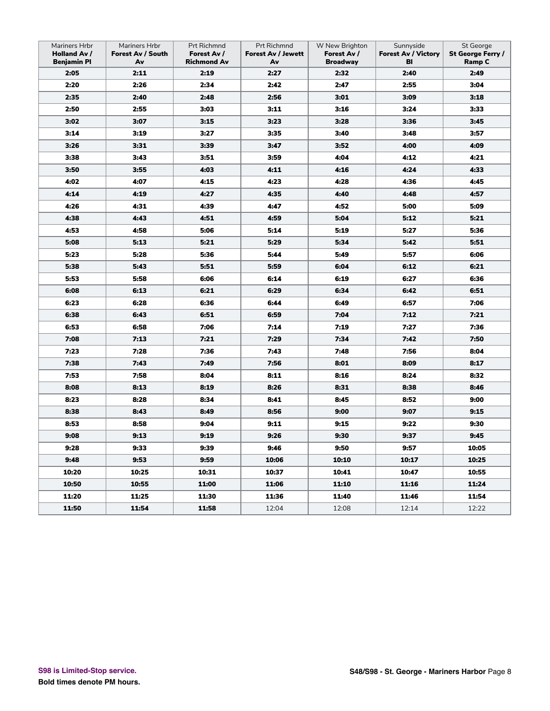| Mariners Hrbr<br><b>Holland Av /</b><br><b>Benjamin Pl</b> | Mariners Hrbr<br>Forest Av / South<br>Av | Prt Richmnd<br>Forest Av /<br><b>Richmond Av</b> | Prt Richmnd<br><b>Forest Av / Jewett</b><br>Av | W New Brighton<br>Forest Av /<br><b>Broadway</b> | Sunnyside<br><b>Forest Av / Victory</b><br>BI | St George<br>St George Ferry /<br><b>Ramp C</b> |
|------------------------------------------------------------|------------------------------------------|--------------------------------------------------|------------------------------------------------|--------------------------------------------------|-----------------------------------------------|-------------------------------------------------|
| 2:05                                                       | 2:11                                     | 2:19                                             | 2:27                                           | 2:32                                             | 2:40                                          | 2:49                                            |
| 2:20                                                       | 2:26                                     | 2:34                                             | 2:42                                           | 2:47                                             | 2:55                                          | 3:04                                            |
| 2:35                                                       | 2:40                                     | 2:48                                             | 2:56                                           | 3:01                                             | 3:09                                          | 3:18                                            |
| 2:50                                                       | 2:55                                     | 3:03                                             | 3:11                                           | 3:16                                             | 3:24                                          | 3:33                                            |
| 3:02                                                       | 3:07                                     | 3:15                                             | 3:23                                           | 3:28                                             | 3:36                                          | 3:45                                            |
| 3:14                                                       | 3:19                                     | 3:27                                             | 3:35                                           | 3:40                                             | 3:48                                          | 3:57                                            |
| 3:26                                                       | 3:31                                     | 3:39                                             | 3:47                                           | 3:52                                             | 4:00                                          | 4:09                                            |
| 3:38                                                       | 3:43                                     | 3:51                                             | 3:59                                           | 4:04                                             | 4:12                                          | 4:21                                            |
| 3:50                                                       | 3:55                                     | 4:03                                             | 4:11                                           | 4:16                                             | 4:24                                          | 4:33                                            |
| 4:02                                                       | 4:07                                     | 4:15                                             | 4:23                                           | 4:28                                             | 4:36                                          | 4:45                                            |
| 4:14                                                       | 4:19                                     | 4:27                                             | 4:35                                           | 4:40                                             | 4:48                                          | 4:57                                            |
| 4:26                                                       | 4:31                                     | 4:39                                             | 4:47                                           | 4:52                                             | 5:00                                          | 5:09                                            |
| 4:38                                                       | 4:43                                     | 4:51                                             | 4:59                                           | 5:04                                             | 5:12                                          | 5:21                                            |
| 4:53                                                       | 4:58                                     | 5:06                                             | 5:14                                           | 5:19                                             | 5:27                                          | 5:36                                            |
| 5:08                                                       | 5:13                                     | 5:21                                             | 5:29                                           | 5:34                                             | 5:42                                          | 5:51                                            |
| 5:23                                                       | 5:28                                     | 5:36                                             | 5:44                                           | 5:49                                             | 5:57                                          | 6:06                                            |
| 5:38                                                       | 5:43                                     | 5:51                                             | 5:59                                           | 6:04                                             | 6:12                                          | 6:21                                            |
| 5:53                                                       | 5:58                                     | 6:06                                             | 6:14                                           | 6:19                                             | 6:27                                          | 6:36                                            |
| 6:08                                                       | 6:13                                     | 6:21                                             | 6:29                                           | 6:34                                             | 6:42                                          | 6:51                                            |
| 6:23                                                       | 6:28                                     | 6:36                                             | 6:44                                           | 6:49                                             | 6:57                                          | 7:06                                            |
| 6:38                                                       | 6:43                                     | 6:51                                             | 6:59                                           | 7:04                                             | 7:12                                          | 7:21                                            |
| 6:53                                                       | 6:58                                     | 7:06                                             | 7:14                                           | 7:19                                             | 7:27                                          | 7:36                                            |
| 7:08                                                       | 7:13                                     | 7:21                                             | 7:29                                           | 7:34                                             | 7:42                                          | 7:50                                            |
| 7:23                                                       | 7:28                                     | 7:36                                             | 7:43                                           | 7:48                                             | 7:56                                          | 8:04                                            |
| 7:38                                                       | 7:43                                     | 7:49                                             | 7:56                                           | 8:01                                             | 8:09                                          | 8:17                                            |
| 7:53                                                       | 7:58                                     | 8:04                                             | 8:11                                           | 8:16                                             | 8:24                                          | 8:32                                            |
| 8:08                                                       | 8:13                                     | 8:19                                             | 8:26                                           | 8:31                                             | 8:38                                          | 8:46                                            |
| 8:23                                                       | 8:28                                     | 8:34                                             | 8:41                                           | 8:45                                             | 8:52                                          | 9:00                                            |
| 8:38                                                       | 8:43                                     | 8:49                                             | 8:56                                           | 9:00                                             | 9:07                                          | 9:15                                            |
| 8:53                                                       | 8:58                                     | 9:04                                             | 9:11                                           | 9:15                                             | 9:22                                          | 9:30                                            |
| 9:08                                                       | 9:13                                     | 9:19                                             | 9:26                                           | 9:30                                             | 9:37                                          | 9:45                                            |
| 9:28                                                       | 9:33                                     | 9:39                                             | 9:46                                           | 9:50                                             | 9:57                                          | 10:05                                           |
| 9:48                                                       | 9:53                                     | 9:59                                             | 10:06                                          | 10:10                                            | 10:17                                         | 10:25                                           |
| 10:20                                                      | 10:25                                    | 10:31                                            | 10:37                                          | 10:41                                            | 10:47                                         | 10:55                                           |
| 10:50                                                      | 10:55                                    | 11:00                                            | 11:06                                          | 11:10                                            | 11:16                                         | 11:24                                           |
| 11:20                                                      | 11:25                                    | 11:30                                            | 11:36                                          | 11:40                                            | 11:46                                         | 11:54                                           |
| 11:50                                                      | 11:54                                    | 11:58                                            | 12:04                                          | 12:08                                            | 12:14                                         | 12:22                                           |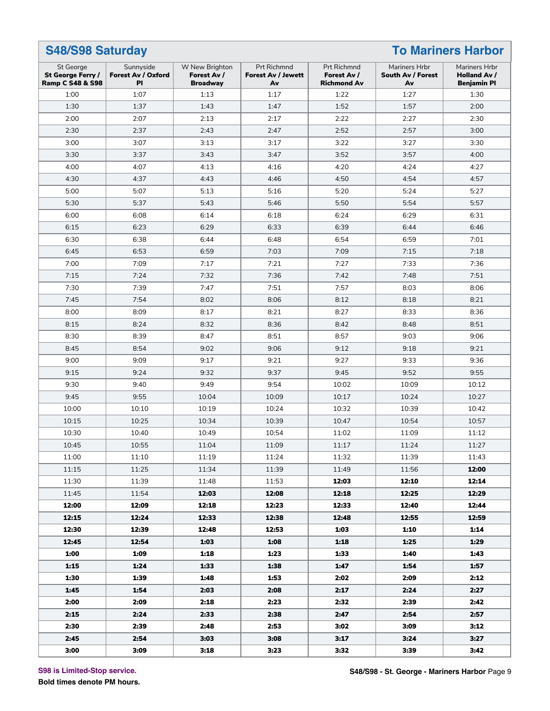#### **S48/S98 Saturday To Mariners Harbor** St George **St George Ferry / Ramp C S48 & S98** Sunnyside **Forest Av / Oxford Pl** W New Brighton **Forest Av / Broadway** Prt Richmnd **Forest Av / Jewett Av** Prt Richmnd **Forest Av / Richmond Av** Mariners Hrbr **South Av / Forest Av** Mariners Hrbr **Holland Av / Benjamin Pl** 1:00 | 1:07 | 1:13 | 1:17 | 1:22 | 1:27 | 1:30 1:30 1:37 1:43 1:47 1:52 1:57 2:00 2:00 | 2:07 | 2:13 | 2:17 | 2:22 | 2:27 | 2:30 2:30 2:37 2:43 2:47 2:52 2:57 3:00 3:00 | 3:07 | 3:13 | 3:17 | 3:22 | 3:27 | 3:30 3:30 | 3:37 | 3:43 | 3:47 | 3:52 | 3:57 | 4:00 4:00 4:07 4:13 4:16 4:20 4:24 4:27 4:30 4:37 4:43 4:46 4:50 4:54 4:57 5:00 5:07 5:13 5:16 5:20 5:24 5:27 5:30 5:37 5:43 5:46 5:50 5:54 5:57 6:00 6:08 6:14 6:18 6:24 6:29 6:31 6:15 6:23 6:29 6:33 6:39 6:44 6:46 6:30 6:38 6:44 6:48 6:54 6:59 7:01 6:45 6:53 6:59 7:03 7:09 7:15 7:18 7:00 | 7:09 | 7:17 | 7:21 | 7:27 | 7:33 | 7:36 7:15 7:24 7:32 7:36 7:42 7:48 7:51 7:30 7:39 7:47 7:51 7:57 8:03 8:06 7:45 7:54 8:02 8:06 8:12 8:18 8:21 8:00 | 8:09 | 8:17 | 8:21 | 8:27 | 8:33 | 8:36 8:15 | 8:24 | 8:32 | 8:36 | 8:42 | 8:48 | 8:51 8:30 | 8:39 | 8:47 | 8:51 | 8:57 | 9:03 | 9:06 8:45 8:54 9:02 9:06 9:12 9:18 9:21 9:00 9:09 9:17 9:21 9:27 9:33 9:36 9:15 9:24 9:32 9:37 9:45 9:52 9:55 9:30 9:40 9:49 9:54 10:02 10:09 10:12 9:45 9:55 10:04 10:09 10:17 10:24 10:27 10:00 10:10 10:19 10:24 10:32 10:39 10:42 10:15 10:25 10:34 10:39 10:47 10:54 10:57 10:30 10:40 10:49 10:54 11:02 11:09 11:12 10:45 10:55 11:04 11:09 11:17 11:24 11:27 11:00 11:10 11:19 11:24 11:32 11:39 11:43 11:15 11:25 11:34 11:39 11:49 11:56 **12:00** 11:30 11:39 11:48 11:53 **12:03 12:10 12:14** 11:45 11:54 **12:03 12:08 12:18 12:25 12:29 12:00 12:09 12:18 12:23 12:33 12:40 12:44 12:15 12:24 12:33 12:38 12:48 12:55 12:59 12:30 12:39 12:48 12:53 1:03 1:10 1:14 12:45 12:54 1:03 1:08 1:18 1:25 1:29 1:00 1:09 1:18 1:23 1:33 1:40 1:43 1:15 1:24 1:33 1:38 1:47 1:54 1:57 1:30 1:39 1:48 1:53 2:02 2:09 2:12 1:45 1:54 2:03 2:08 2:17 2:24 2:27 2:00 2:09 2:18 2:23 2:32 2:39 2:42 2:15 2:24 2:33 2:38 2:47 2:54 2:57 2:30 2:39 2:48 2:53 3:02 3:09 3:12 2:45 2:54 3:03 3:08 3:17 3:24 3:27 3:00 3:09 3:18 3:23 3:32 3:39 3:42**

#### **S98 is Limited-Stop service.**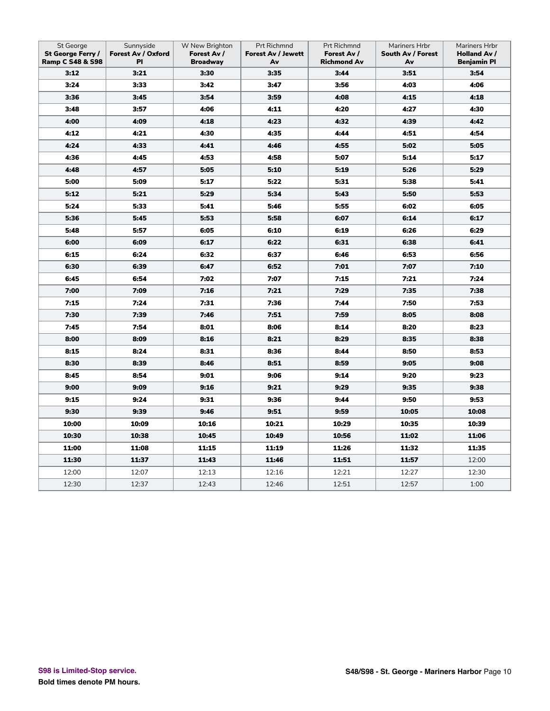| St George<br>St George Ferry /<br><b>Ramp C S48 &amp; S98</b> | Sunnyside<br>Forest Av / Oxford<br>PI | W New Brighton<br>Forest Av /<br><b>Broadway</b> | Prt Richmnd<br><b>Forest Av / Jewett</b><br>Av | Prt Richmnd<br>Forest Av /<br><b>Richmond Av</b> | Mariners Hrbr<br>South Av / Forest<br>Av | Mariners Hrbr<br>Holland Av /<br><b>Benjamin Pl</b> |
|---------------------------------------------------------------|---------------------------------------|--------------------------------------------------|------------------------------------------------|--------------------------------------------------|------------------------------------------|-----------------------------------------------------|
| 3:12                                                          | 3:21                                  | 3:30                                             | 3:35                                           | 3:44                                             | 3:51                                     | 3:54                                                |
| 3:24                                                          | 3:33                                  | 3:42                                             | 3:47                                           | 3:56                                             | 4:03                                     | 4:06                                                |
| 3:36                                                          | 3:45                                  | 3:54                                             | 3:59                                           | 4:08                                             | 4:15                                     | 4:18                                                |
| 3:48                                                          | 3:57                                  | 4:06                                             | 4:11                                           | 4:20                                             | 4:27                                     | 4:30                                                |
| 4:00                                                          | 4:09                                  | 4:18                                             | 4:23                                           | 4:32                                             | 4:39                                     | 4:42                                                |
| 4:12                                                          | 4:21                                  | 4:30                                             | 4:35                                           | 4:44                                             | 4:51                                     | 4:54                                                |
| 4:24                                                          | 4:33                                  | 4:41                                             | 4:46                                           | 4:55                                             | 5:02                                     | 5:05                                                |
| 4:36                                                          | 4:45                                  | 4:53                                             | 4:58                                           | 5:07                                             | 5:14                                     | 5:17                                                |
| 4:48                                                          | 4:57                                  | 5:05                                             | 5:10                                           | 5:19                                             | 5:26                                     | 5:29                                                |
| 5:00                                                          | 5:09                                  | 5:17                                             | 5:22                                           | 5:31                                             | 5:38                                     | 5:41                                                |
| 5:12                                                          | 5:21                                  | 5:29                                             | 5:34                                           | 5:43                                             | 5:50                                     | 5:53                                                |
| 5:24                                                          | 5:33                                  | 5:41                                             | 5:46                                           | 5:55                                             | 6:02                                     | 6:05                                                |
| 5:36                                                          | 5:45                                  | 5:53                                             | 5:58                                           | 6:07                                             | 6:14                                     | 6:17                                                |
| 5:48                                                          | 5:57                                  | 6:05                                             | 6:10                                           | 6:19                                             | 6:26                                     | 6:29                                                |
| 6:00                                                          | 6:09                                  | 6:17                                             | 6:22                                           | 6:31                                             | 6:38                                     | 6:41                                                |
| 6:15                                                          | 6:24                                  | 6:32                                             | 6:37                                           | 6:46                                             | 6:53                                     | 6:56                                                |
| 6:30                                                          | 6:39                                  | 6:47                                             | 6:52                                           | 7:01                                             | 7:07                                     | 7:10                                                |
| 6:45                                                          | 6:54                                  | 7:02                                             | 7:07                                           | 7:15                                             | 7:21                                     | 7:24                                                |
| 7:00                                                          | 7:09                                  | 7:16                                             | 7:21                                           | 7:29                                             | 7:35                                     | 7:38                                                |
| 7:15                                                          | 7:24                                  | 7:31                                             | 7:36                                           | 7:44                                             | 7:50                                     | 7:53                                                |
| 7:30                                                          | 7:39                                  | 7:46                                             | 7:51                                           | 7:59                                             | 8:05                                     | 8:08                                                |
| 7:45                                                          | 7:54                                  | 8:01                                             | 8:06                                           | 8:14                                             | 8:20                                     | 8:23                                                |
| 8:00                                                          | 8:09                                  | 8:16                                             | 8:21                                           | 8:29                                             | 8:35                                     | 8:38                                                |
| 8:15                                                          | 8:24                                  | 8:31                                             | 8:36                                           | 8:44                                             | 8:50                                     | 8:53                                                |
| 8:30                                                          | 8:39                                  | 8:46                                             | 8:51                                           | 8:59                                             | 9:05                                     | 9:08                                                |
| 8:45                                                          | 8:54                                  | 9:01                                             | 9:06                                           | 9:14                                             | 9:20                                     | 9:23                                                |
| 9:00                                                          | 9:09                                  | 9:16                                             | 9:21                                           | 9:29                                             | 9:35                                     | 9:38                                                |
| 9:15                                                          | 9:24                                  | 9:31                                             | 9:36                                           | 9:44                                             | 9:50                                     | 9:53                                                |
| 9:30                                                          | 9:39                                  | 9:46                                             | 9:51                                           | 9:59                                             | 10:05                                    | 10:08                                               |
| 10:00                                                         | 10:09                                 | 10:16                                            | 10:21                                          | 10:29                                            | 10:35                                    | 10:39                                               |
| 10:30                                                         | 10:38                                 | 10:45                                            | 10:49                                          | 10:56                                            | 11:02                                    | 11:06                                               |
| 11:00                                                         | 11:08                                 | 11:15                                            | 11:19                                          | 11:26                                            | 11:32                                    | 11:35                                               |
| 11:30                                                         | 11:37                                 | 11:43                                            | 11:46                                          | 11:51                                            | 11:57                                    | 12:00                                               |
| 12:00                                                         | 12:07                                 | 12:13                                            | 12:16                                          | 12:21                                            | 12:27                                    | 12:30                                               |
| 12:30                                                         | 12:37                                 | 12:43                                            | 12:46                                          | 12:51                                            | 12:57                                    | 1:00                                                |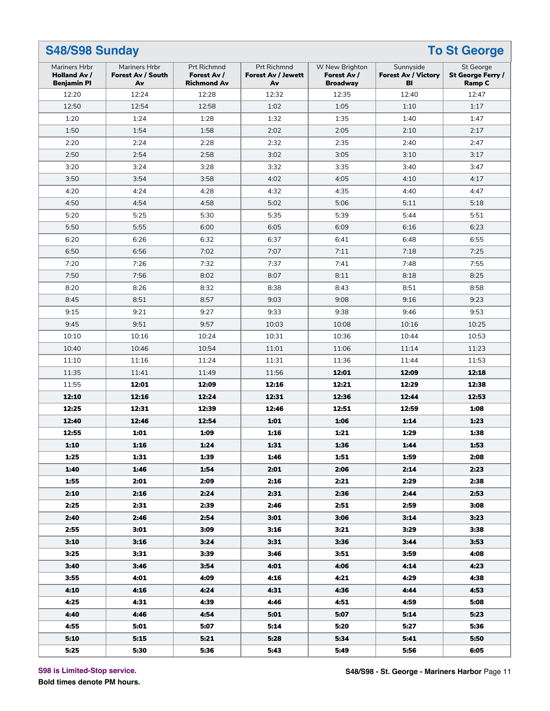| <b>S48/S98 Sunday</b><br><b>To St George</b>               |                                          |                                                  |                                                       |                                                  |                                               |                                                 |  |  |  |
|------------------------------------------------------------|------------------------------------------|--------------------------------------------------|-------------------------------------------------------|--------------------------------------------------|-----------------------------------------------|-------------------------------------------------|--|--|--|
| Mariners Hrbr<br><b>Holland Av /</b><br><b>Benjamin PI</b> | Mariners Hrbr<br>Forest Av / South<br>Av | Prt Richmnd<br>Forest Av /<br><b>Richmond Av</b> | <b>Prt Richmnd</b><br><b>Forest Av / Jewett</b><br>Av | W New Brighton<br>Forest Av /<br><b>Broadway</b> | Sunnyside<br><b>Forest Av / Victory</b><br>BI | St George<br>St George Ferry /<br><b>Ramp C</b> |  |  |  |
| 12:20                                                      | 12:24                                    | 12:28                                            | 12:32                                                 | 12:35                                            | 12:40                                         | 12:47                                           |  |  |  |
| 12:50                                                      | 12:54                                    | 12:58                                            | 1:02                                                  | 1:05                                             | 1:10                                          | 1:17                                            |  |  |  |
| 1:20                                                       | 1:24                                     | 1:28                                             | 1:32                                                  | 1:35                                             | 1:40                                          | 1:47                                            |  |  |  |
| 1:50                                                       | 1:54                                     | 1:58                                             | 2:02                                                  | 2:05                                             | 2:10                                          | 2:17                                            |  |  |  |
| 2:20                                                       | 2:24                                     | 2:28                                             | 2:32                                                  | 2:35                                             | 2:40                                          | 2:47                                            |  |  |  |
| 2:50                                                       | 2:54                                     | 2:58                                             | 3:02                                                  | 3:05                                             | 3:10                                          | 3:17                                            |  |  |  |
| 3:20                                                       | 3:24                                     | 3:28                                             | 3:32                                                  | 3:35                                             | 3:40                                          | 3:47                                            |  |  |  |
| 3:50                                                       | 3:54                                     | 3:58                                             | 4:02                                                  | 4:05                                             | 4:10                                          | 4:17                                            |  |  |  |
| 4:20                                                       | 4:24                                     | 4:28                                             | 4:32                                                  | 4:35                                             | 4:40                                          | 4:47                                            |  |  |  |
| 4:50                                                       | 4:54                                     | 4:58                                             | 5:02                                                  | 5:06                                             | 5:11                                          | 5:18                                            |  |  |  |
| 5:20                                                       | 5:25                                     | 5:30                                             | 5:35                                                  | 5:39                                             | 5:44                                          | 5:51                                            |  |  |  |
| 5:50                                                       | 5:55                                     | 6:00                                             | 6:05                                                  | 6:09                                             | 6:16                                          | 6:23                                            |  |  |  |
| 6:20                                                       | 6:26                                     | 6:32                                             | 6:37                                                  | 6:41                                             | 6:48                                          | 6:55                                            |  |  |  |
| 6:50                                                       | 6:56                                     | 7:02                                             | 7:07                                                  | 7:11                                             | 7:18                                          | 7:25                                            |  |  |  |
| 7:20                                                       | 7:26                                     | 7:32                                             | 7:37                                                  | 7:41                                             | 7:48                                          | 7:55                                            |  |  |  |
| 7:50                                                       | 7:56                                     | 8:02                                             | 8:07                                                  | 8:11                                             | 8:18                                          | 8:25                                            |  |  |  |
| 8:20                                                       | 8:26                                     | 8:32                                             | 8:38                                                  | 8:43                                             | 8:51                                          | 8:58                                            |  |  |  |
| 8:45                                                       | 8:51                                     | 8:57                                             | 9:03                                                  | 9:08                                             | 9:16                                          | 9:23                                            |  |  |  |
| 9:15                                                       | 9:21                                     | 9:27                                             | 9:33                                                  | 9:38                                             | 9:46                                          | 9:53                                            |  |  |  |
| 9:45                                                       | 9:51                                     | 9:57                                             | 10:03                                                 | 10:08                                            | 10:16                                         | 10:25                                           |  |  |  |
| 10:10                                                      | 10:16                                    | 10:24                                            | 10:31                                                 | 10:36                                            | 10:44                                         | 10:53                                           |  |  |  |
| 10:40                                                      | 10:46                                    | 10:54                                            | 11:01                                                 | 11:06                                            | 11:14                                         | 11:23                                           |  |  |  |
| 11:10                                                      | 11:16                                    | 11:24                                            | 11:31                                                 | 11:36                                            | 11:44                                         | 11:53                                           |  |  |  |
| 11:35                                                      | 11:41                                    | 11:49                                            | 11:56                                                 | 12:01                                            | 12:09                                         | 12:18                                           |  |  |  |
| 11:55                                                      | 12:01                                    | 12:09                                            | 12:16                                                 | 12:21                                            | 12:29                                         | 12:38                                           |  |  |  |
| 12:10                                                      | 12:16                                    | 12:24                                            | 12:31                                                 | 12:36                                            | 12:44                                         | 12:53                                           |  |  |  |
| 12:25                                                      | 12:31                                    | 12:39                                            | 12:46                                                 | 12:51                                            | 12:59                                         | 1:08                                            |  |  |  |
| 12:40                                                      | 12:46                                    | 12:54                                            | 1:01                                                  | 1:06                                             | 1:14                                          | 1:23                                            |  |  |  |
| 12:55                                                      | 1:01                                     | 1:09                                             | 1:16                                                  | 1:21                                             | 1:29                                          | 1:38                                            |  |  |  |
| <b>1:10</b>                                                | 1:16                                     | 1:24                                             | 1:31                                                  | 1:36                                             | 1:44                                          | 1:53                                            |  |  |  |
| 1:25                                                       | 1:31                                     | 1:39                                             | 1:46                                                  | 1:51                                             | 1:59                                          | 2:08                                            |  |  |  |
| 1:40                                                       | 1:46                                     | 1:54                                             | 2:01                                                  | 2:06                                             | 2:14                                          | 2:23                                            |  |  |  |
| 1:55                                                       | 2:01                                     | 2:09                                             | 2:16                                                  | 2:21                                             | 2:29                                          | 2:38                                            |  |  |  |
| 2:10                                                       | 2:16                                     | 2:24                                             | 2:31                                                  | 2:36                                             | 2:44                                          | 2:53                                            |  |  |  |
| 2:25                                                       | 2:31                                     | 2:39                                             | 2:46                                                  | 2:51                                             | 2:59                                          | 3:08                                            |  |  |  |
| 2:40                                                       | 2:46                                     | 2:54                                             | 3:01                                                  | 3:06                                             | 3:14                                          | 3:23                                            |  |  |  |
| 2:55                                                       | 3:01                                     | 3:09                                             | 3:16                                                  | 3:21                                             | 3:29                                          | 3:38                                            |  |  |  |
| 3:10                                                       | 3:16                                     | 3:24                                             | 3:31                                                  | 3:36                                             | 3:44                                          | 3:53                                            |  |  |  |
| 3:25                                                       | 3:31                                     | 3:39                                             | 3:46                                                  | 3:51                                             | 3:59                                          | 4:08                                            |  |  |  |
| 3:40                                                       | 3:46                                     | 3:54                                             | 4:01                                                  | 4:06                                             | 4:14                                          | 4:23                                            |  |  |  |
| 3:55                                                       | 4:01                                     | 4:09                                             | 4:16                                                  | 4:21                                             | 4:29                                          | 4:38                                            |  |  |  |
| 4:10                                                       | 4:16                                     | 4:24                                             | 4:31                                                  | 4:36                                             | 4:44                                          | 4:53                                            |  |  |  |
| 4:25                                                       | 4:31                                     | 4:39                                             | 4:46                                                  | 4:51                                             | 4:59                                          | 5:08                                            |  |  |  |
| 4:40                                                       | 4:46                                     | 4:54                                             | 5:01                                                  | 5:07                                             | 5:14                                          | 5:23                                            |  |  |  |
| 4:55                                                       | 5:01                                     | 5:07                                             | 5:14                                                  | 5:20                                             | 5:27                                          | 5:36                                            |  |  |  |
| 5:10                                                       | 5:15                                     | 5:21                                             | 5:28                                                  | 5:34                                             | 5:41                                          | 5:50                                            |  |  |  |
| 5:25                                                       | 5:30                                     | 5:36                                             | 5:43                                                  | 5:49                                             | 5:56                                          | 6:05                                            |  |  |  |

**S98 is Limited-Stop service.**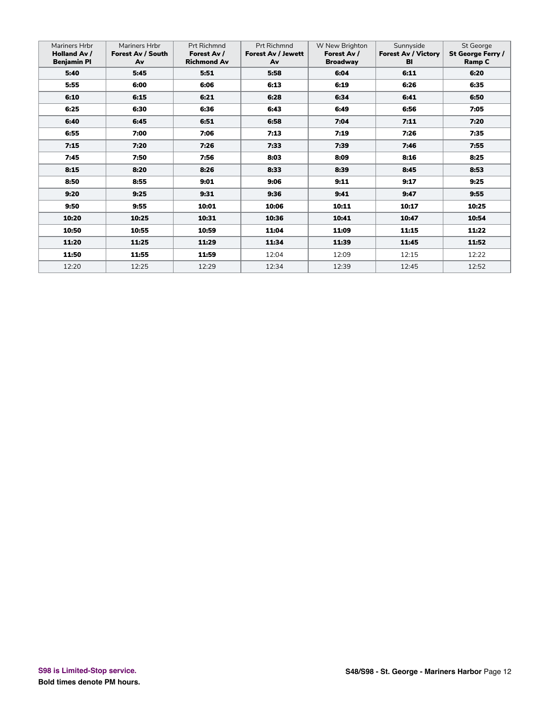| <b>Mariners Hrbr</b><br><b>Holland Av /</b><br><b>Benjamin PI</b> | Mariners Hrbr<br>Forest Av / South<br>Av | <b>Prt Richmnd</b><br>Forest Av /<br><b>Richmond Av</b> | <b>Prt Richmnd</b><br><b>Forest Av / Jewett</b><br>Av | W New Brighton<br>Forest Av /<br><b>Broadway</b> | Sunnyside<br><b>Forest Av / Victory</b><br>BI | St George<br>St George Ferry /<br><b>Ramp C</b> |
|-------------------------------------------------------------------|------------------------------------------|---------------------------------------------------------|-------------------------------------------------------|--------------------------------------------------|-----------------------------------------------|-------------------------------------------------|
| 5:40                                                              | 5:45                                     | 5:51                                                    | 5:58                                                  | 6:04                                             | 6:11                                          | 6:20                                            |
| 5:55                                                              | 6:00                                     | 6:06                                                    | 6:13                                                  | 6:19                                             | 6:26                                          | 6:35                                            |
| 6:10                                                              | 6:15                                     | 6:21                                                    | 6:28                                                  | 6:34                                             | 6:41                                          | 6:50                                            |
| 6:25                                                              | 6:30                                     | 6:36                                                    | 6:43                                                  | 6:49                                             | 6:56                                          | 7:05                                            |
| 6:40                                                              | 6:45                                     | 6:51                                                    | 6:58                                                  | 7:04                                             | 7:11                                          | 7:20                                            |
| 6:55                                                              | 7:00                                     | 7:06                                                    | 7:13                                                  | 7:19                                             | 7:26                                          | 7:35                                            |
| 7:15                                                              | 7:20                                     | 7:26                                                    | 7:33                                                  | 7:39                                             | 7:46                                          | 7:55                                            |
| 7:45                                                              | 7:50                                     | 7:56                                                    | 8:03                                                  | 8:09                                             | 8:16                                          | 8:25                                            |
| 8:15                                                              | 8:20                                     | 8:26                                                    | 8:33                                                  | 8:39                                             | 8:45                                          | 8:53                                            |
| 8:50                                                              | 8:55                                     | 9:01                                                    | 9:06                                                  | 9:11                                             | 9:17                                          | 9:25                                            |
| 9:20                                                              | 9:25                                     | 9:31                                                    | 9:36                                                  | 9:41                                             | 9:47                                          | 9:55                                            |
| 9:50                                                              | 9:55                                     | 10:01                                                   | 10:06                                                 | 10:11                                            | 10:17                                         | 10:25                                           |
| 10:20                                                             | 10:25                                    | 10:31                                                   | 10:36                                                 | 10:41                                            | 10:47                                         | 10:54                                           |
| 10:50                                                             | 10:55                                    | 10:59                                                   | 11:04                                                 | 11:09                                            | 11:15                                         | 11:22                                           |
| 11:20                                                             | 11:25                                    | 11:29                                                   | 11:34                                                 | 11:39                                            | 11:45                                         | 11:52                                           |
| 11:50                                                             | 11:55                                    | 11:59                                                   | 12:04                                                 | 12:09                                            | 12:15                                         | 12:22                                           |
| 12:20                                                             | 12:25                                    | 12:29                                                   | 12:34                                                 | 12:39                                            | 12:45                                         | 12:52                                           |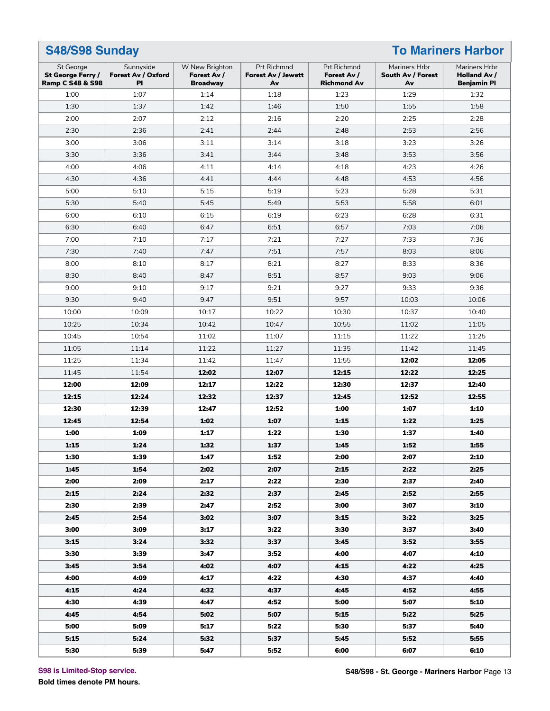| S48/S98 Sunday<br><b>To Mariners Harbor</b>                   |                                       |                                                  |                                                |                                                  |                                          |                                                     |  |
|---------------------------------------------------------------|---------------------------------------|--------------------------------------------------|------------------------------------------------|--------------------------------------------------|------------------------------------------|-----------------------------------------------------|--|
| St George<br>St George Ferry /<br><b>Ramp C S48 &amp; S98</b> | Sunnyside<br>Forest Av / Oxford<br>PI | W New Brighton<br>Forest Av /<br><b>Broadway</b> | Prt Richmnd<br><b>Forest Av / Jewett</b><br>Av | Prt Richmnd<br>Forest Av /<br><b>Richmond Av</b> | Mariners Hrbr<br>South Av / Forest<br>Av | Mariners Hrbr<br>Holland Av /<br><b>Benjamin PI</b> |  |
| 1:00                                                          | 1:07                                  | 1:14                                             | 1:18                                           | 1:23                                             | 1:29                                     | 1:32                                                |  |
| 1:30                                                          | 1:37                                  | 1:42                                             | 1:46                                           | 1:50                                             | 1:55                                     | 1:58                                                |  |
| 2:00                                                          | 2:07                                  | 2:12                                             | 2:16                                           | 2:20                                             | 2:25                                     | 2:28                                                |  |
| 2:30                                                          | 2:36                                  | 2:41                                             | 2:44                                           | 2:48                                             | 2:53                                     | 2:56                                                |  |
| 3:00                                                          | 3:06                                  | 3:11                                             | 3:14                                           | 3:18                                             | 3:23                                     | 3:26                                                |  |
| 3:30                                                          | 3:36                                  | 3:41                                             | 3:44                                           | 3:48                                             | 3:53                                     | 3:56                                                |  |
| 4:00                                                          | 4:06                                  | 4:11                                             | 4:14                                           | 4:18                                             | 4:23                                     | 4:26                                                |  |
| 4:30                                                          | 4:36                                  | 4:41                                             | 4:44                                           | 4:48                                             | 4:53                                     | 4:56                                                |  |
| 5:00                                                          | 5:10                                  | 5:15                                             | 5:19                                           | 5:23                                             | 5:28                                     | 5:31                                                |  |
| 5:30                                                          | 5:40                                  | 5:45                                             | 5:49                                           | 5:53                                             | 5:58                                     | 6:01                                                |  |
| 6:00                                                          | 6:10                                  | 6:15                                             | 6:19                                           | 6:23                                             | 6:28                                     | 6:31                                                |  |
| 6:30                                                          | 6:40                                  | 6:47                                             | 6:51                                           | 6:57                                             | 7:03                                     | 7:06                                                |  |
| 7:00                                                          | 7:10                                  | 7:17                                             | 7:21                                           | 7:27                                             | 7:33                                     | 7:36                                                |  |
| 7:30                                                          | 7:40                                  | 7:47                                             | 7:51                                           | 7:57                                             | 8:03                                     | 8:06                                                |  |
| 8:00                                                          | 8:10                                  | 8:17                                             | 8:21                                           | 8:27                                             | 8:33                                     | 8:36                                                |  |
| 8:30                                                          | 8:40                                  | 8:47                                             | 8:51                                           | 8:57                                             | 9:03                                     | 9:06                                                |  |
| 9:00                                                          | 9:10                                  | 9:17                                             | 9:21                                           | 9:27                                             | 9:33                                     | 9:36                                                |  |
| 9:30                                                          | 9:40                                  | 9:47                                             | 9:51                                           | 9:57                                             | 10:03                                    | 10:06                                               |  |
| 10:00                                                         | 10:09                                 | 10:17                                            | 10:22                                          | 10:30                                            | 10:37                                    | 10:40                                               |  |
| 10:25                                                         | 10:34                                 | 10:42                                            | 10:47                                          | 10:55                                            | 11:02                                    | 11:05                                               |  |
| 10:45                                                         | 10:54                                 | 11:02                                            | 11:07                                          | 11:15                                            | 11:22                                    | 11:25                                               |  |
| 11:05                                                         | 11:14                                 | 11:22                                            | 11:27                                          | 11:35                                            | 11:42                                    | 11:45                                               |  |
| 11:25                                                         | 11:34                                 | 11:42                                            | 11:47                                          | 11:55                                            | 12:02                                    | 12:05                                               |  |
| 11:45                                                         | 11:54                                 | 12:02                                            | 12:07                                          | 12:15                                            | 12:22                                    | 12:25                                               |  |
| 12:00                                                         | 12:09                                 | 12:17                                            | 12:22                                          | 12:30                                            | 12:37                                    | 12:40                                               |  |
| 12:15                                                         | 12:24                                 | 12:32                                            | 12:37                                          | 12:45                                            | 12:52                                    | 12:55                                               |  |
| 12:30                                                         | 12:39                                 | 12:47                                            | 12:52                                          | 1:00                                             | 1:07                                     | 1:10                                                |  |
| 12:45                                                         | 12:54                                 | 1:02                                             | 1:07                                           | 1:15                                             | 1:22                                     | 1:25                                                |  |
| 1:00                                                          | 1:09                                  | 1:17                                             | 1:22                                           | 1:30                                             | 1:37                                     | 1:40                                                |  |
| 1:15                                                          | 1:24                                  | 1:32                                             | 1:37                                           | 1:45                                             | 1:52                                     | 1:55                                                |  |
| 1:30                                                          | 1:39                                  | 1:47                                             | 1:52                                           | 2:00                                             | 2:07                                     | 2:10                                                |  |
| 1:45                                                          | 1:54                                  | 2:02                                             | 2:07                                           | 2:15                                             | 2:22                                     | 2:25                                                |  |
| 2:00                                                          | 2:09                                  | 2:17                                             | 2:22                                           | 2:30                                             | 2:37                                     | 2:40                                                |  |
| 2:15                                                          | 2:24                                  | 2:32                                             | 2:37                                           | 2:45                                             | 2:52                                     | 2:55                                                |  |
| 2:30                                                          | 2:39                                  | 2:47                                             | 2:52                                           | 3:00                                             | 3:07                                     | 3:10                                                |  |
| 2:45                                                          | 2:54                                  | 3:02                                             | 3:07                                           | 3:15                                             | 3:22                                     | 3:25                                                |  |
| 3:00                                                          | 3:09                                  | 3:17                                             | 3:22                                           | 3:30                                             | 3:37                                     | 3:40                                                |  |
| 3:15                                                          | 3:24                                  | 3:32                                             | 3:37                                           | 3:45                                             | 3:52                                     | 3:55                                                |  |
| 3:30                                                          | 3:39                                  | 3:47                                             | 3:52                                           | 4:00                                             | 4:07                                     | 4:10                                                |  |
| 3:45                                                          | 3:54                                  | 4:02                                             | 4:07                                           | 4:15                                             | 4:22                                     | 4:25                                                |  |
| 4:00                                                          | 4:09                                  | 4:17                                             | 4:22                                           | 4:30                                             | 4:37                                     | 4:40                                                |  |
| 4:15                                                          | 4:24                                  | 4:32                                             | 4:37                                           | 4:45                                             | 4:52                                     | 4:55                                                |  |
| 4:30                                                          | 4:39                                  | 4:47                                             | 4:52                                           | 5:00                                             | 5:07                                     | 5:10                                                |  |
| 4:45                                                          | 4:54                                  | 5:02                                             | 5:07                                           | 5:15                                             | 5:22                                     | 5:25                                                |  |
| 5:00                                                          | 5:09                                  | 5:17                                             | 5:22                                           | 5:30                                             | 5:37                                     | 5:40                                                |  |
| 5:15                                                          | 5:24                                  | 5:32                                             | 5:37                                           | 5:45                                             | 5:52                                     | 5:55                                                |  |
| 5:30                                                          | 5:39                                  | 5:47                                             | 5:52                                           | 6:00                                             | 6:07                                     | 6:10                                                |  |

**S98 is Limited-Stop service.**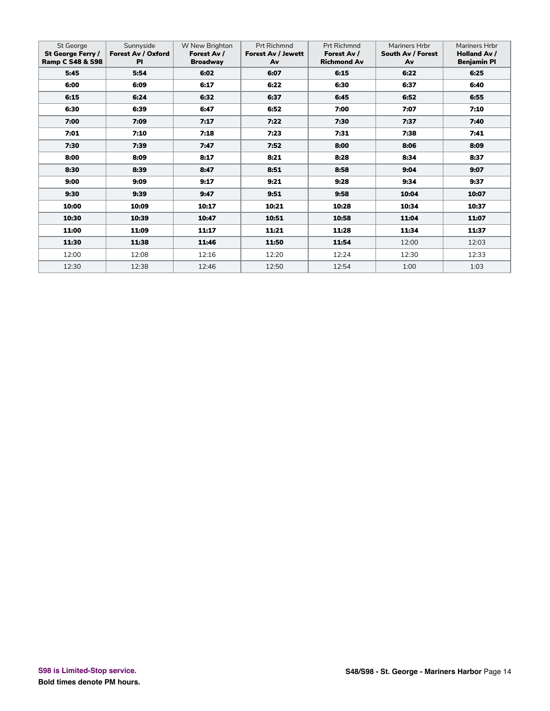| St George<br>St George Ferry /<br><b>Ramp C S48 &amp; S98</b> | Sunnyside<br>Forest Av / Oxford<br><b>PI</b> | W New Brighton<br>Forest Av /<br><b>Broadway</b> | Prt Richmnd<br><b>Forest Av / Jewett</b><br>Av | Prt Richmnd<br>Forest Av /<br><b>Richmond Av</b> | Mariners Hrbr<br>South Av / Forest<br>Av | Mariners Hrbr<br><b>Holland Av /</b><br><b>Benjamin PI</b> |
|---------------------------------------------------------------|----------------------------------------------|--------------------------------------------------|------------------------------------------------|--------------------------------------------------|------------------------------------------|------------------------------------------------------------|
| 5:45                                                          | 5:54                                         | 6:02                                             | 6:07                                           | 6:15                                             | 6:22                                     | 6:25                                                       |
| 6:00                                                          | 6:09                                         | 6:17                                             | 6:22                                           | 6:30                                             | 6:37                                     | 6:40                                                       |
| 6:15                                                          | 6:24                                         | 6:32                                             | 6:37                                           | 6:45                                             | 6:52                                     | 6:55                                                       |
| 6:30                                                          | 6:39                                         | 6:47                                             | 6:52                                           | 7:00                                             | 7:07                                     | 7:10                                                       |
| 7:00                                                          | 7:09                                         | 7:17                                             | 7:22                                           | 7:30                                             | 7:37                                     | 7:40                                                       |
| 7:01                                                          | 7:10                                         | 7:18                                             | 7:23                                           | 7:31                                             | 7:38                                     | 7:41                                                       |
| 7:30                                                          | 7:39                                         | 7:47                                             | 7:52                                           | 8:00                                             | 8:06                                     | 8:09                                                       |
| 8:00                                                          | 8:09                                         | 8:17                                             | 8:21                                           | 8:28                                             | 8:34                                     | 8:37                                                       |
| 8:30                                                          | 8:39                                         | 8:47                                             | 8:51                                           | 8:58                                             | 9:04                                     | 9:07                                                       |
| 9:00                                                          | 9:09                                         | 9:17                                             | 9:21                                           | 9:28                                             | 9:34                                     | 9:37                                                       |
| 9:30                                                          | 9:39                                         | 9:47                                             | 9:51                                           | 9:58                                             | 10:04                                    | 10:07                                                      |
| 10:00                                                         | 10:09                                        | 10:17                                            | 10:21                                          | 10:28                                            | 10:34                                    | 10:37                                                      |
| 10:30                                                         | 10:39                                        | 10:47                                            | 10:51                                          | 10:58                                            | 11:04                                    | 11:07                                                      |
| 11:00                                                         | 11:09                                        | 11:17                                            | 11:21                                          | 11:28                                            | 11:34                                    | 11:37                                                      |
| 11:30                                                         | 11:38                                        | 11:46                                            | 11:50                                          | 11:54                                            | 12:00                                    | 12:03                                                      |
| 12:00                                                         | 12:08                                        | 12:16                                            | 12:20                                          | 12:24                                            | 12:30                                    | 12:33                                                      |
| 12:30                                                         | 12:38                                        | 12:46                                            | 12:50                                          | 12:54                                            | 1:00                                     | 1:03                                                       |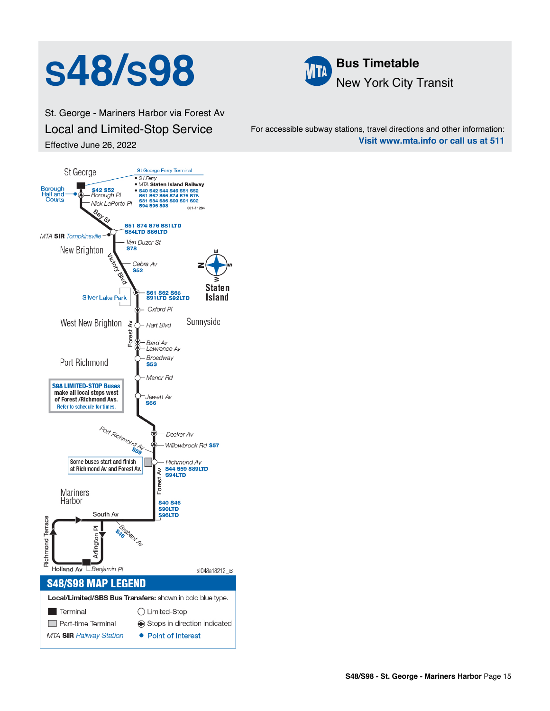# S<sup>48</sup>/S98 **Bus Timetable**



St. George - Mariners Harbor via Forest Av Local and Limited-Stop Service Effective June 26, 2022

For accessible subway stations, travel directions and other information: **Visit www.mta.info or call us at 511**

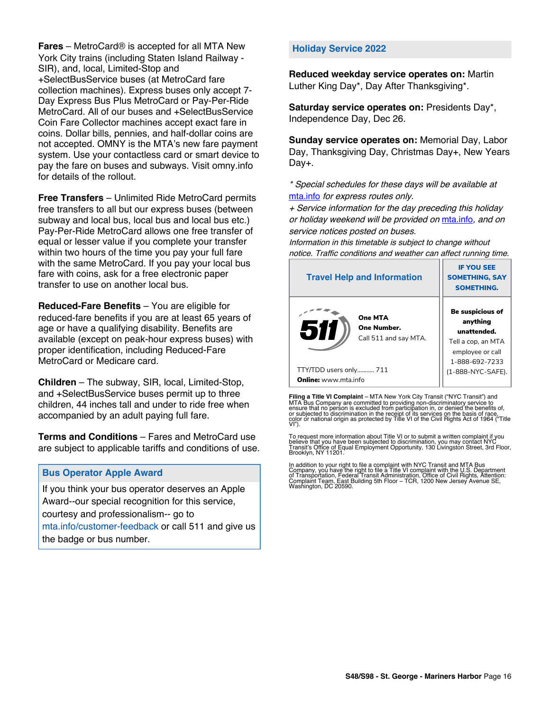**Fares** – MetroCard® is accepted for all MTA New York City trains (including Staten Island Railway - SIR), and, local, Limited-Stop and +SelectBusService buses (at MetroCard fare collection machines). Express buses only accept 7- Day Express Bus Plus MetroCard or Pay-Per-Ride MetroCard. All of our buses and +SelectBusService Coin Fare Collector machines accept exact fare in coins. Dollar bills, pennies, and half-dollar coins are not accepted. OMNY is the MTA's new fare payment system. Use your contactless card or smart device to pay the fare on buses and subways. Visit omny.info for details of the rollout.

**Free Transfers** – Unlimited Ride MetroCard permits free transfers to all but our express buses (between subway and local bus, local bus and local bus etc.) Pay-Per-Ride MetroCard allows one free transfer of equal or lesser value if you complete your transfer within two hours of the time you pay your full fare with the same MetroCard. If you pay your local bus fare with coins, ask for a free electronic paper transfer to use on another local bus.

**Reduced-Fare Benefits** – You are eligible for reduced-fare benefits if you are at least 65 years of age or have a qualifying disability. Benefits are available (except on peak-hour express buses) with proper identification, including Reduced-Fare MetroCard or Medicare card.

**Children** – The subway, SIR, local, Limited-Stop, and +SelectBusService buses permit up to three children, 44 inches tall and under to ride free when accompanied by an adult paying full fare.

**Terms and Conditions** – Fares and MetroCard use are subject to applicable tariffs and conditions of use.

### **Bus Operator Apple Award**

If you think your bus operator deserves an Apple Award--our special recognition for this service, courtesy and professionalism-- go to mta.info/customer-feedback or call 511 and give us the badge or bus number.

### **Holiday Service 2022**

**Reduced weekday service operates on:** Martin Luther King Day\*, Day After Thanksgiving\*.

**Saturday service operates on:** Presidents Day\*, Independence Day, Dec 26.

**Sunday service operates on:** Memorial Day, Labor Day, Thanksgiving Day, Christmas Day+, New Years Day+.

\* Special schedules for these days will be available at [mta.info](https://new.mta.info/) for express routes only.

+ Service information for the day preceding this holiday or holiday weekend will be provided on [mta.info](https://new.mta.info/), and on service notices posted on buses.

Information in this timetable is subject to change without notice. Traffic conditions and weather can affect running time.

| <b>Travel Help and Information</b>                     | <b>IF YOU SEE</b><br><b>SOMETHING, SAY</b><br><b>SOMETHING.</b>                                         |  |
|--------------------------------------------------------|---------------------------------------------------------------------------------------------------------|--|
| One MTA<br>511<br>One Number.<br>Call 511 and say MTA. | Be suspicious of<br>anything<br>unattended.<br>Tell a cop, an MTA<br>employee or call<br>1-888-692-7233 |  |
| TTY/TDD users only 711                                 | (1-888-NYC-SAFE).                                                                                       |  |
| <b>Online:</b> www.mta.info                            |                                                                                                         |  |

**Filing a Title VI Complaint** – MTA New York City Transit ("NYC Transit") and<br>MTA Bus Company are committed to providing non-discriminatory service to<br>ensure that no person is excluded from participation in, or denied the

To request more information about Title VI or to submit a written complaint if you believe that you have been subjected to discrimination, you may contact NYC<br>Transit's Office of Equal Employment Opportunity, 130 Livingston Street, 3rd Floor,<br>Brooklyn, NY 11201.

In addition to your right to file a complaint with NYC Transit and MTA Bus<br>Company, you have the right to file a Title VI complaint with the U.S. Department<br>of Transportation, Federal Transit Administration, Office of Civi